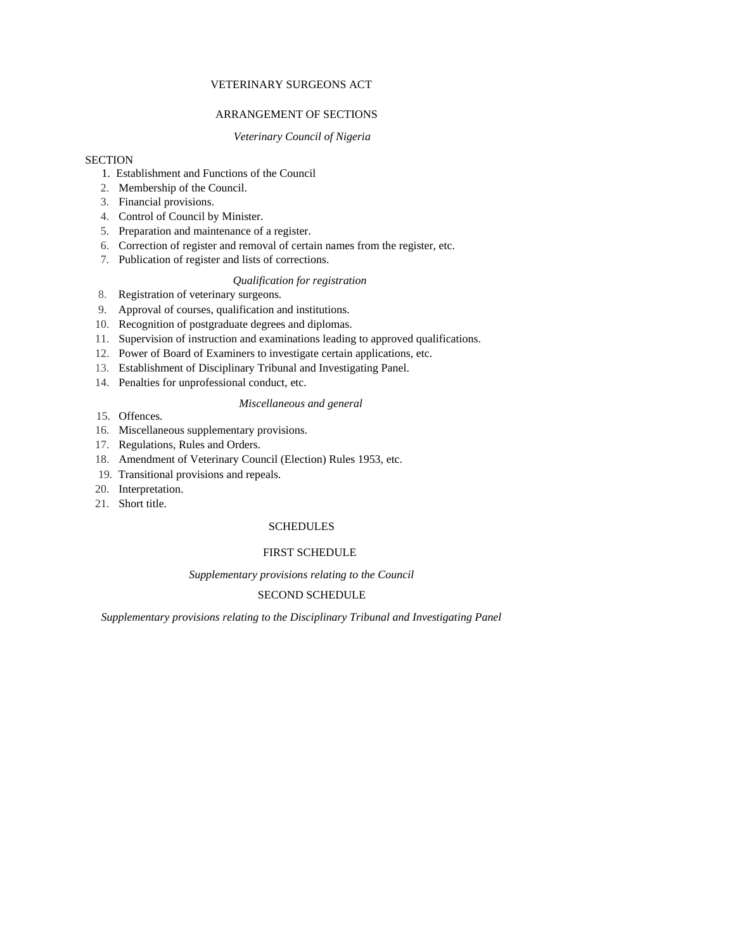# VETERINARY SURGEONS ACT

# ARRANGEMENT OF SECTIONS

# *Veterinary Council of Nigeria*

# **SECTION**

- 1. Establishment and Functions of the Council
- 2. Membership of the Council.
- 3. Financial provisions.
- 4. Control of Council by Minister.
- 5. Preparation and maintenance of a register.
- 6. Correction of register and removal of certain names from the register, etc.
- 7. Publication of register and lists of corrections.

# *Qualification for registration*

- 8. Registration of veterinary surgeons.
- 9. Approval of courses, qualification and institutions.
- 10. Recognition of postgraduate degrees and diplomas.
- 11. Supervision of instruction and examinations leading to approved qualifications.
- 12. Power of Board of Examiners to investigate certain applications, etc.
- 13. Establishment of Disciplinary Tribunal and Investigating Panel.
- 14. Penalties for unprofessional conduct, etc.

### *Miscellaneous and general*

- 15. Offences.
- 16. Miscellaneous supplementary provisions.
- 17. Regulations, Rules and Orders.
- 18. Amendment of Veterinary Council (Election) Rules 1953, etc.
- 19. Transitional provisions and repeals.
- 20. Interpretation.
- 21. Short title.

# **SCHEDULES**

# FIRST SCHEDULE

*Supplementary provisions relating to the Council* 

# SECOND SCHEDULE

*Supplementary provisions relating to the Disciplinary Tribunal and Investigating Panel*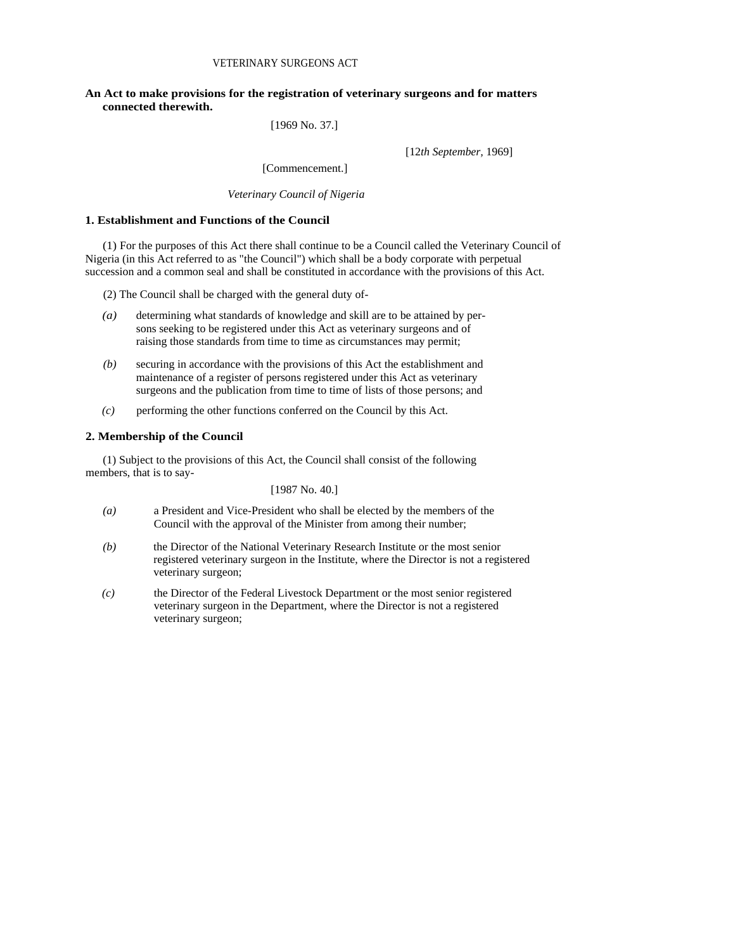# **An Act to make provisions for the registration of veterinary surgeons and for matters connected therewith.**

[1969 No. 37.]

[12*th September,* 1969]

[Commencement.]

*Veterinary Council of Nigeria* 

# **1. Establishment and Functions of the Council**

(1) For the purposes of this Act there shall continue to be a Council called the Veterinary Council of Nigeria (in this Act referred to as "the Council") which shall be a body corporate with perpetual succession and a common seal and shall be constituted in accordance with the provisions of this Act.

(2) The Council shall be charged with the general duty of-

- *(a)* determining what standards of knowledge and skill are to be attained by persons seeking to be registered under this Act as veterinary surgeons and of raising those standards from time to time as circumstances may permit;
- *(b)* securing in accordance with the provisions of this Act the establishment and maintenance of a register of persons registered under this Act as veterinary surgeons and the publication from time to time of lists of those persons; and
- *(c)* performing the other functions conferred on the Council by this Act.

### **2. Membership of the Council**

(1) Subject to the provisions of this Act, the Council shall consist of the following members, that is to say-

[1987 No. 40.]

- *(a)* a President and Vice-President who shall be elected by the members of the Council with the approval of the Minister from among their number;
- *(b)* the Director of the National Veterinary Research Institute or the most senior registered veterinary surgeon in the Institute, where the Director is not a registered veterinary surgeon;
- *(c)* the Director of the Federal Livestock Department or the most senior registered veterinary surgeon in the Department, where the Director is not a registered veterinary surgeon;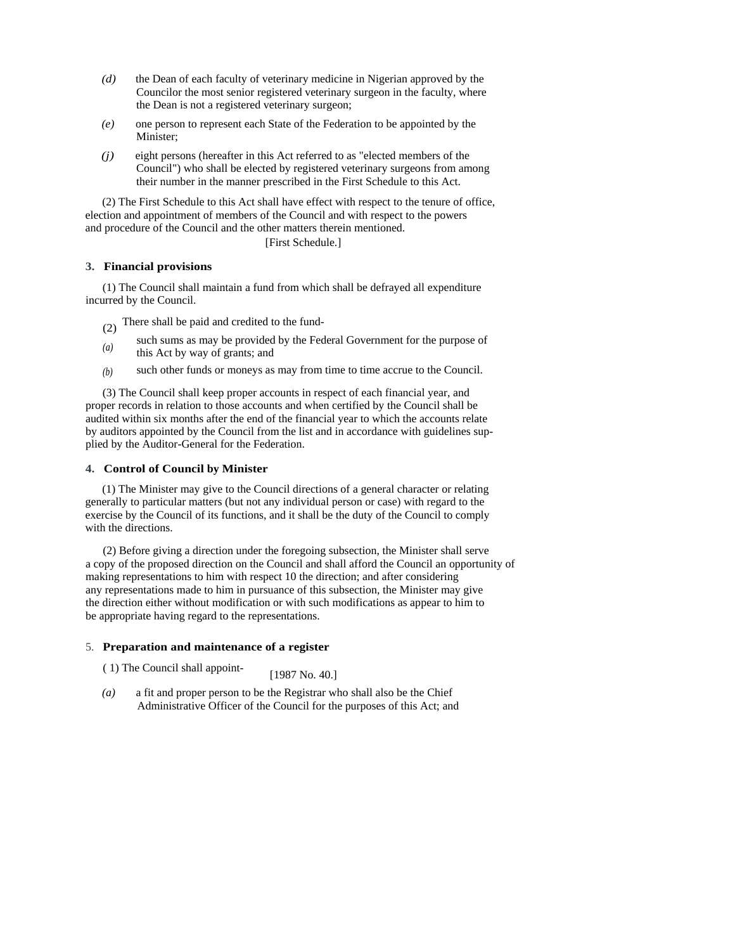- *(d)* the Dean of each faculty of veterinary medicine in Nigerian approved by the Councilor the most senior registered veterinary surgeon in the faculty, where the Dean is not a registered veterinary surgeon;
- *(e)* one person to represent each State of the Federation to be appointed by the Minister:
- *(j)* eight persons (hereafter in this Act referred to as "elected members of the Council") who shall be elected by registered veterinary surgeons from among their number in the manner prescribed in the First Schedule to this Act.

(2) The First Schedule to this Act shall have effect with respect to the tenure of office, election and appointment of members of the Council and with respect to the powers and procedure of the Council and the other matters therein mentioned.

# [First Schedule.]

### **3. Financial provisions**

(1) The Council shall maintain a fund from which shall be defrayed all expenditure incurred by the Council.

(2) There shall be paid and credited to the fund-

- *(a)*  such sums as may be provided by the Federal Government for the purpose of this Act by way of grants; and
- *(b)* such other funds or moneys as may from time to time accrue to the Council.

(3) The Council shall keep proper accounts in respect of each financial year, and proper records in relation to those accounts and when certified by the Council shall be audited within six months after the end of the financial year to which the accounts relate by auditors appointed by the Council from the list and in accordance with guidelines supplied by the Auditor-General for the Federation.

### **4. Control of Council by Minister**

(1) The Minister may give to the Council directions of a general character or relating generally to particular matters (but not any individual person or case) with regard to the exercise by the Council of its functions, and it shall be the duty of the Council to comply with the directions.

(2) Before giving a direction under the foregoing subsection, the Minister shall serve a copy of the proposed direction on the Council and shall afford the Council an opportunity of making representations to him with respect 10 the direction; and after considering any representations made to him in pursuance of this subsection, the Minister may give the direction either without modification or with such modifications as appear to him to be appropriate having regard to the representations.

### 5. **Preparation and maintenance of a register**

- ( 1) The Council shall appoint- [1987 No. 40.]
- *(a)* a fit and proper person to be the Registrar who shall also be the Chief Administrative Officer of the Council for the purposes of this Act; and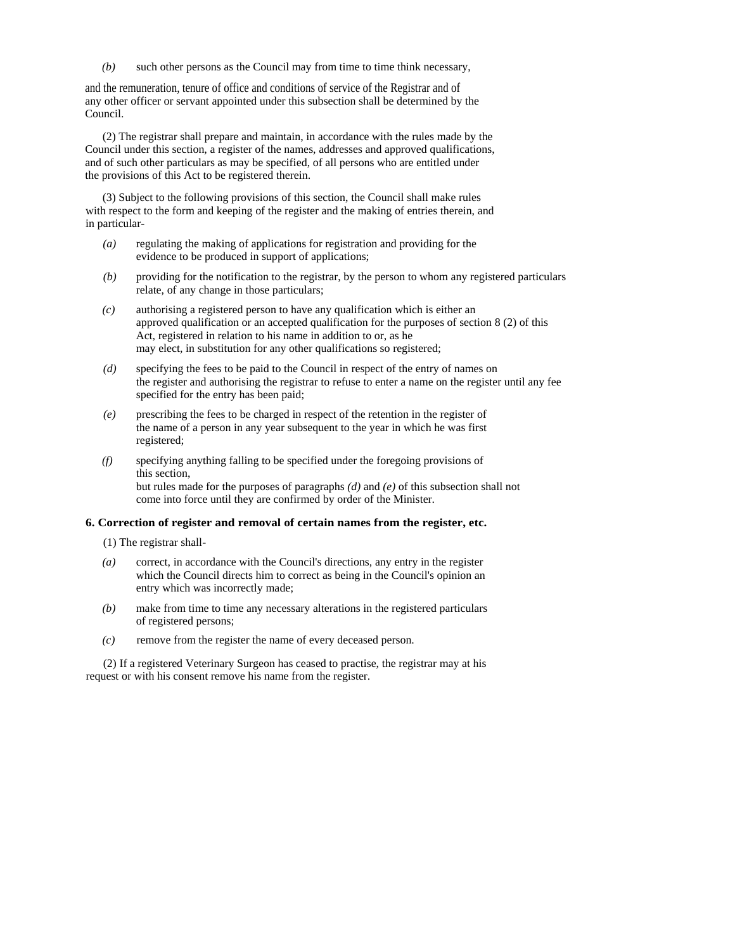*(b)* such other persons as the Council may from time to time think necessary,

and the remuneration, tenure of office and conditions of service of the Registrar and of any other officer or servant appointed under this subsection shall be determined by the Council.

(2) The registrar shall prepare and maintain, in accordance with the rules made by the Council under this section, a register of the names, addresses and approved qualifications, and of such other particulars as may be specified, of all persons who are entitled under the provisions of this Act to be registered therein.

(3) Subject to the following provisions of this section, the Council shall make rules with respect to the form and keeping of the register and the making of entries therein, and in particular-

- *(a)* regulating the making of applications for registration and providing for the evidence to be produced in support of applications;
- *(b)* providing for the notification to the registrar, by the person to whom any registered particulars relate, of any change in those particulars;
- *(c)* authorising a registered person to have any qualification which is either an approved qualification or an accepted qualification for the purposes of section 8 (2) of this Act, registered in relation to his name in addition to or, as he may elect, in substitution for any other qualifications so registered;
- *(d)* specifying the fees to be paid to the Council in respect of the entry of names on the register and authorising the registrar to refuse to enter a name on the register until any fee specified for the entry has been paid;
- *(e)* prescribing the fees to be charged in respect of the retention in the register of the name of a person in any year subsequent to the year in which he was first registered;
- *(f)* specifying anything falling to be specified under the foregoing provisions of this section, but rules made for the purposes of paragraphs *(d)* and *(e)* of this subsection shall not come into force until they are confirmed by order of the Minister.

# **6. Correction of register and removal of certain names from the register, etc.**

- (1) The registrar shall-
- *(a)* correct, in accordance with the Council's directions, any entry in the register which the Council directs him to correct as being in the Council's opinion an entry which was incorrectly made;
- *(b)* make from time to time any necessary alterations in the registered particulars of registered persons;
- *(c)* remove from the register the name of every deceased person.

(2) If a registered Veterinary Surgeon has ceased to practise, the registrar may at his request or with his consent remove his name from the register.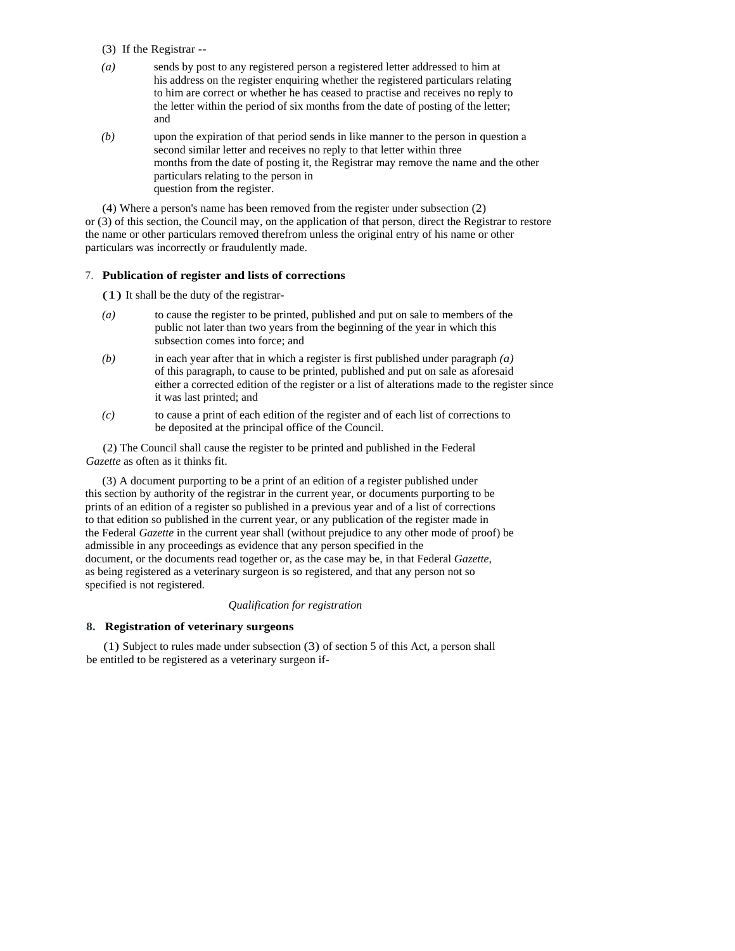- (3) If the Registrar --
- *(a)* sends by post to any registered person a registered letter addressed to him at his address on the register enquiring whether the registered particulars relating to him are correct or whether he has ceased to practise and receives no reply to the letter within the period of six months from the date of posting of the letter; and
- *(b)* upon the expiration of that period sends in like manner to the person in question a second similar letter and receives no reply to that letter within three months from the date of posting it, the Registrar may remove the name and the other particulars relating to the person in question from the register.

(4) Where a person's name has been removed from the register under subsection (2) or (3) of this section, the Council may, on the application of that person, direct the Registrar to restore the name or other particulars removed therefrom unless the original entry of his name or other particulars was incorrectly or fraudulently made.

### 7. **Publication of register and lists of corrections**

(1) It shall be the duty of the registrar-

- *(a)* to cause the register to be printed, published and put on sale to members of the public not later than two years from the beginning of the year in which this subsection comes into force; and
- *(b)* in each year after that in which a register is first published under paragraph *(a)*  of this paragraph, to cause to be printed, published and put on sale as aforesaid either a corrected edition of the register or a list of alterations made to the register since it was last printed; and
- *(c)* to cause a print of each edition of the register and of each list of corrections to be deposited at the principal office of the Council.

(2) The Council shall cause the register to be printed and published in the Federal *Gazette* as often as it thinks fit.

(3) A document purporting to be a print of an edition of a register published under this section by authority of the registrar in the current year, or documents purporting to be prints of an edition of a register so published in a previous year and of a list of corrections to that edition so published in the current year, or any publication of the register made in the Federal *Gazette* in the current year shall (without prejudice to any other mode of proof) be admissible in any proceedings as evidence that any person specified in the document, or the documents read together or, as the case may be, in that Federal *Gazette,*  as being registered as a veterinary surgeon is so registered, and that any person not so specified is not registered.

### *Qualification for registration*

### **8. Registration of veterinary surgeons**

(1) Subject to rules made under subsection (3) of section 5 of this Act, a person shall be entitled to be registered as a veterinary surgeon if-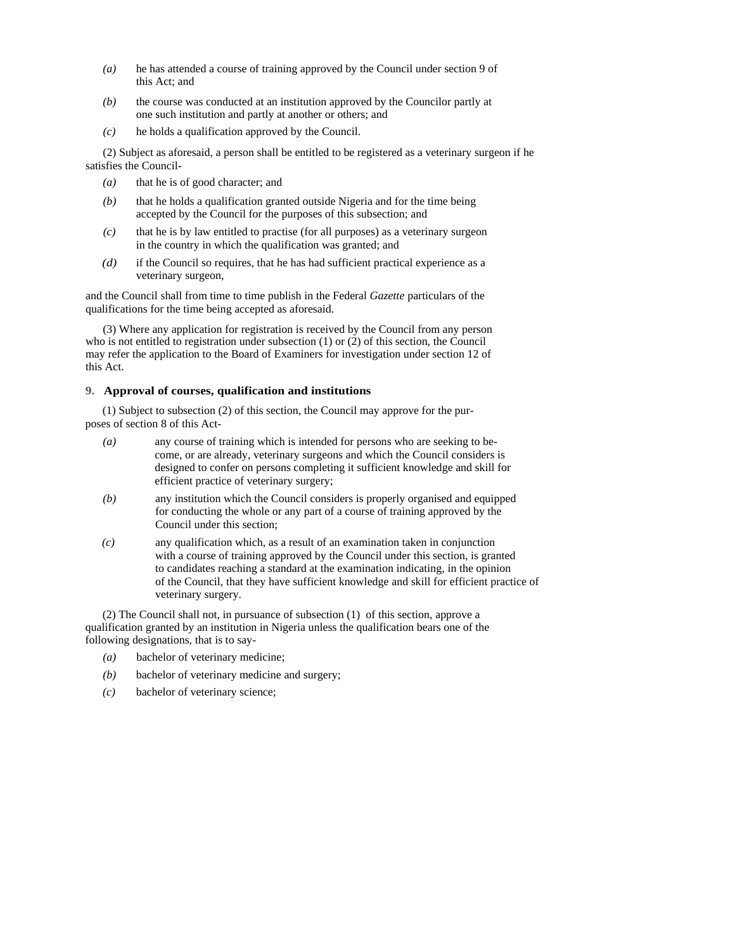- *(a)* he has attended a course of training approved by the Council under section 9 of this Act; and
- *(b)* the course was conducted at an institution approved by the Councilor partly at one such institution and partly at another or others; and
- *(c)* he holds a qualification approved by the Council.

(2) Subject as aforesaid, a person shall be entitled to be registered as a veterinary surgeon if he satisfies the Council-

- *(a)* that he is of good character; and
- *(b)* that he holds a qualification granted outside Nigeria and for the time being accepted by the Council for the purposes of this subsection; and
- *(c)* that he is by law entitled to practise (for all purposes) as a veterinary surgeon in the country in which the qualification was granted; and
- *(d)* if the Council so requires, that he has had sufficient practical experience as a veterinary surgeon,

and the Council shall from time to time publish in the Federal *Gazette* particulars of the qualifications for the time being accepted as aforesaid.

(3) Where any application for registration is received by the Council from any person who is not entitled to registration under subsection (1) or (2) of this section, the Council may refer the application to the Board of Examiners for investigation under section 12 of this Act.

# **9. Approval of courses, qualification and institutions**

(1) Subject to subsection (2) of this section, the Council may approve for the purposes of section 8 of this Act-

- *(a)* any course of training which is intended for persons who are seeking to become, or are already, veterinary surgeons and which the Council considers is designed to confer on persons completing it sufficient knowledge and skill for efficient practice of veterinary surgery;
- *(b)* any institution which the Council considers is properly organised and equipped for conducting the whole or any part of a course of training approved by the Council under this section;
- *(c)* any qualification which, as a result of an examination taken in conjunction with a course of training approved by the Council under this section, is granted to candidates reaching a standard at the examination indicating, in the opinion of the Council, that they have sufficient knowledge and skill for efficient practice of veterinary surgery.

(2) The Council shall not, in pursuance of subsection (1) of this section, approve a qualification granted by an institution in Nigeria unless the qualification bears one of the following designations, that is to say-

- *(a)* bachelor of veterinary medicine;
- *(b)* bachelor of veterinary medicine and surgery;
- *(c)* bachelor of veterinary science;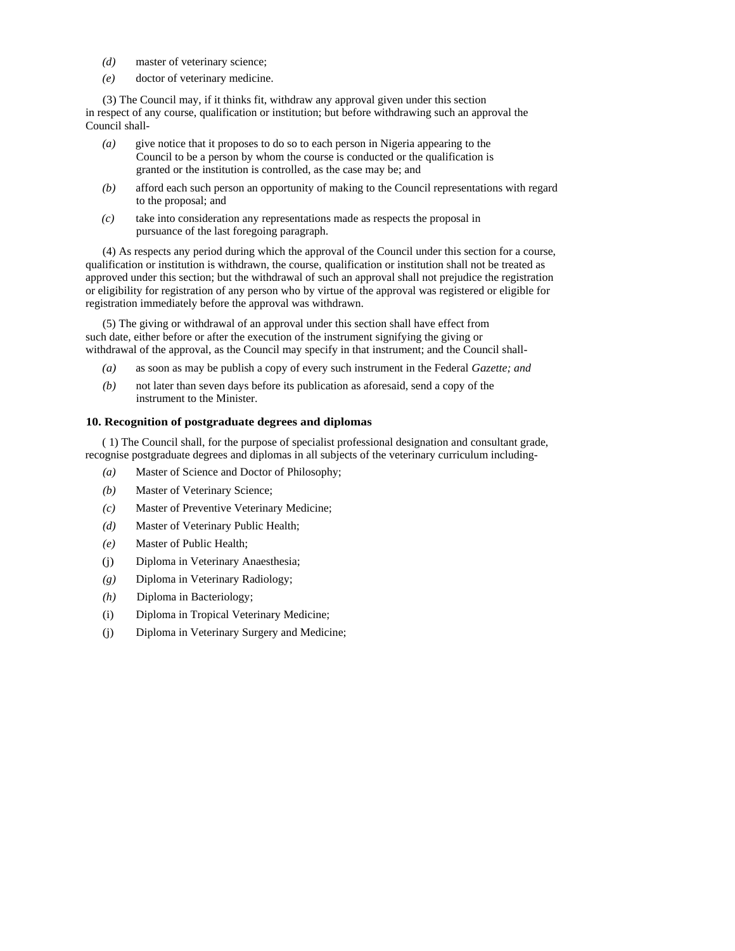- *(d)* master of veterinary science;
- *(e)* doctor of veterinary medicine.

(3) The Council may, if it thinks fit, withdraw any approval given under this section in respect of any course, qualification or institution; but before withdrawing such an approval the Council shall-

- *(a)* give notice that it proposes to do so to each person in Nigeria appearing to the Council to be a person by whom the course is conducted or the qualification is granted or the institution is controlled, as the case may be; and
- *(b)* afford each such person an opportunity of making to the Council representations with regard to the proposal; and
- *(c)* take into consideration any representations made as respects the proposal in pursuance of the last foregoing paragraph.

(4) As respects any period during which the approval of the Council under this section for a course, qualification or institution is withdrawn, the course, qualification or institution shall not be treated as approved under this section; but the withdrawal of such an approval shall not prejudice the registration or eligibility for registration of any person who by virtue of the approval was registered or eligible for registration immediately before the approval was withdrawn.

(5) The giving or withdrawal of an approval under this section shall have effect from such date, either before or after the execution of the instrument signifying the giving or withdrawal of the approval, as the Council may specify in that instrument; and the Council shall-

- *(a)* as soon as may be publish a copy of every such instrument in the Federal *Gazette; and*
- *(b)* not later than seven days before its publication as aforesaid, send a copy of the instrument to the Minister.

# **10. Recognition of postgraduate degrees and diplomas**

( 1) The Council shall, for the purpose of specialist professional designation and consultant grade, recognise postgraduate degrees and diplomas in all subjects of the veterinary curriculum including-

- *(a)* Master of Science and Doctor of Philosophy;
- *(b)* Master of Veterinary Science;
- *(c)* Master of Preventive Veterinary Medicine;
- *(d)* Master of Veterinary Public Health;
- *(e)* Master of Public Health;
- (j) Diploma in Veterinary Anaesthesia;
- *(g)* Diploma in Veterinary Radiology;
- *(h)* Diploma in Bacteriology;
- (i) Diploma in Tropical Veterinary Medicine;
- (j) Diploma in Veterinary Surgery and Medicine;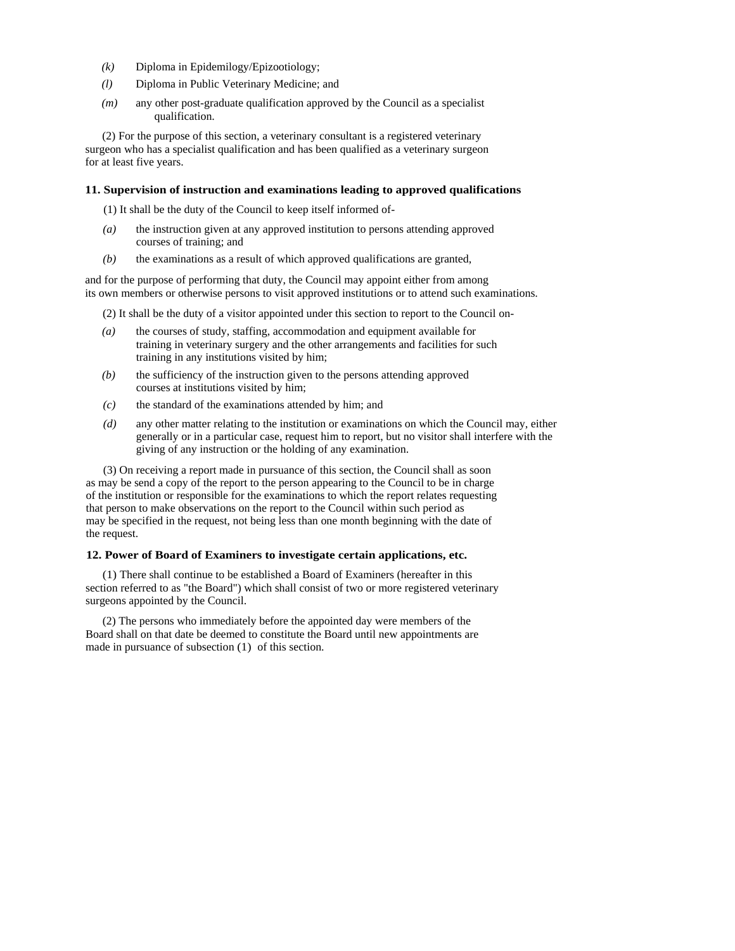- *(k)* Diploma in Epidemilogy/Epizootiology;
- *(l)* Diploma in Public Veterinary Medicine; and
- *(m)* any other post-graduate qualification approved by the Council as a specialist qualification.

(2) For the purpose of this section, a veterinary consultant is a registered veterinary surgeon who has a specialist qualification and has been qualified as a veterinary surgeon for at least five years.

### **11. Supervision of instruction and examinations leading to approved qualifications**

(1) It shall be the duty of the Council to keep itself informed of-

- *(a)* the instruction given at any approved institution to persons attending approved courses of training; and
- *(b)* the examinations as a result of which approved qualifications are granted,

and for the purpose of performing that duty, the Council may appoint either from among its own members or otherwise persons to visit approved institutions or to attend such examinations.

(2) It shall be the duty of a visitor appointed under this section to report to the Council on-

- *(a)* the courses of study, staffing, accommodation and equipment available for training in veterinary surgery and the other arrangements and facilities for such training in any institutions visited by him;
- *(b)* the sufficiency of the instruction given to the persons attending approved courses at institutions visited by him;
- *(c)* the standard of the examinations attended by him; and
- *(d)* any other matter relating to the institution or examinations on which the Council may, either generally or in a particular case, request him to report, but no visitor shall interfere with the giving of any instruction or the holding of any examination.

(3) On receiving a report made in pursuance of this section, the Council shall as soon as may be send a copy of the report to the person appearing to the Council to be in charge of the institution or responsible for the examinations to which the report relates requesting that person to make observations on the report to the Council within such period as may be specified in the request, not being less than one month beginning with the date of the request.

### **12. Power of Board of Examiners to investigate certain applications, etc.**

(1) There shall continue to be established a Board of Examiners (hereafter in this section referred to as "the Board") which shall consist of two or more registered veterinary surgeons appointed by the Council.

(2) The persons who immediately before the appointed day were members of the Board shall on that date be deemed to constitute the Board until new appointments are made in pursuance of subsection (1) of this section.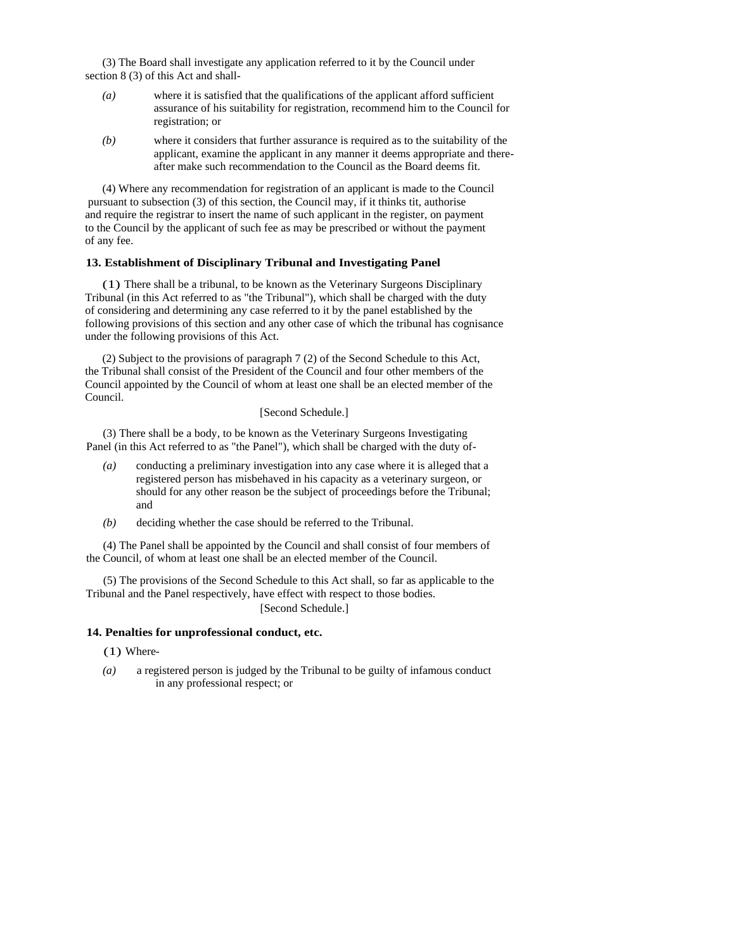(3) The Board shall investigate any application referred to it by the Council under section 8 (3) of this Act and shall-

- *(a)* where it is satisfied that the qualifications of the applicant afford sufficient assurance of his suitability for registration, recommend him to the Council for registration; or
- *(b)* where it considers that further assurance is required as to the suitability of the applicant, examine the applicant in any manner it deems appropriate and thereafter make such recommendation to the Council as the Board deems fit.

(4) Where any recommendation for registration of an applicant is made to the Council pursuant to subsection (3) of this section, the Council may, if it thinks tit, authorise and require the registrar to insert the name of such applicant in the register, on payment to the Council by the applicant of such fee as may be prescribed or without the payment of any fee.

### **13. Establishment of Disciplinary Tribunal and Investigating Panel**

(1) There shall be a tribunal, to be known as the Veterinary Surgeons Disciplinary Tribunal (in this Act referred to as "the Tribunal"), which shall be charged with the duty of considering and determining any case referred to it by the panel established by the following provisions of this section and any other case of which the tribunal has cognisance under the following provisions of this Act.

(2) Subject to the provisions of paragraph 7 (2) of the Second Schedule to this Act, the Tribunal shall consist of the President of the Council and four other members of the Council appointed by the Council of whom at least one shall be an elected member of the Council.

# [Second Schedule.]

(3) There shall be a body, to be known as the Veterinary Surgeons Investigating Panel (in this Act referred to as "the Panel"), which shall be charged with the duty of-

- *(a)* conducting a preliminary investigation into any case where it is alleged that a registered person has misbehaved in his capacity as a veterinary surgeon, or should for any other reason be the subject of proceedings before the Tribunal; and
- *(b)* deciding whether the case should be referred to the Tribunal.

(4) The Panel shall be appointed by the Council and shall consist of four members of the Council, of whom at least one shall be an elected member of the Council.

(5) The provisions of the Second Schedule to this Act shall, so far as applicable to the Tribunal and the Panel respectively, have effect with respect to those bodies. [Second Schedule.]

# **14. Penalties for unprofessional conduct, etc.**

- (1) Where-
- *(a)* a registered person is judged by the Tribunal to be guilty of infamous conduct in any professional respect; or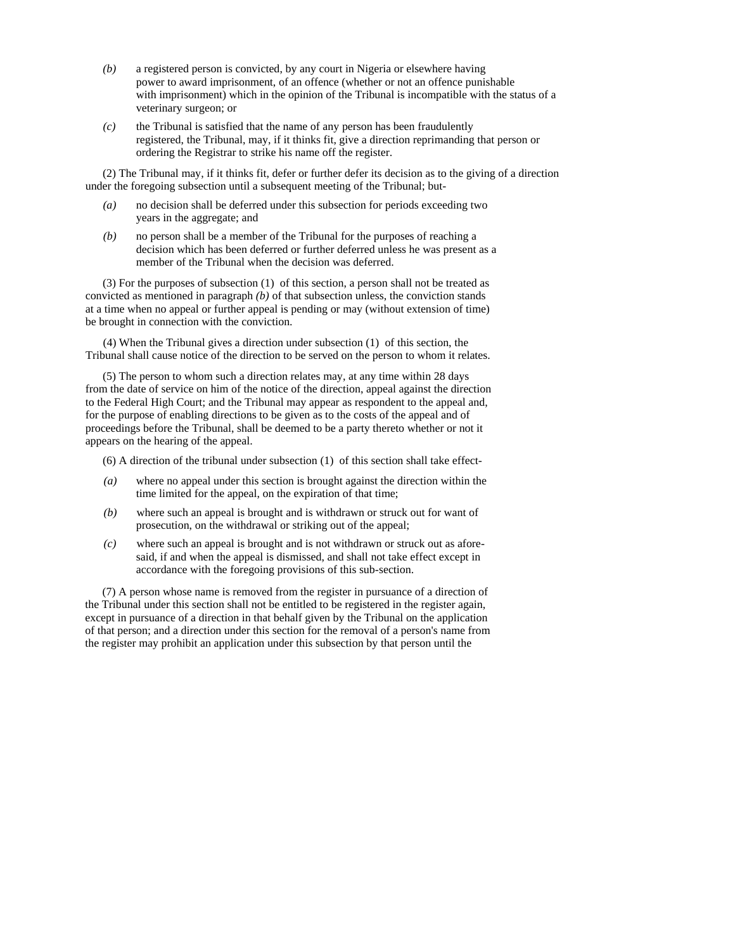- *(b)* a registered person is convicted, by any court in Nigeria or elsewhere having power to award imprisonment, of an offence (whether or not an offence punishable with imprisonment) which in the opinion of the Tribunal is incompatible with the status of a veterinary surgeon; or
- *(c)* the Tribunal is satisfied that the name of any person has been fraudulently registered, the Tribunal, may, if it thinks fit, give a direction reprimanding that person or ordering the Registrar to strike his name off the register.

(2) The Tribunal may, if it thinks fit, defer or further defer its decision as to the giving of a direction under the foregoing subsection until a subsequent meeting of the Tribunal; but-

- *(a)* no decision shall be deferred under this subsection for periods exceeding two years in the aggregate; and
- *(b)* no person shall be a member of the Tribunal for the purposes of reaching a decision which has been deferred or further deferred unless he was present as a member of the Tribunal when the decision was deferred.

(3) For the purposes of subsection (1) of this section, a person shall not be treated as convicted as mentioned in paragraph *(b)* of that subsection unless, the conviction stands at a time when no appeal or further appeal is pending or may (without extension of time) be brought in connection with the conviction.

(4) When the Tribunal gives a direction under subsection (1) of this section, the Tribunal shall cause notice of the direction to be served on the person to whom it relates.

(5) The person to whom such a direction relates may, at any time within 28 days from the date of service on him of the notice of the direction, appeal against the direction to the Federal High Court; and the Tribunal may appear as respondent to the appeal and, for the purpose of enabling directions to be given as to the costs of the appeal and of proceedings before the Tribunal, shall be deemed to be a party thereto whether or not it appears on the hearing of the appeal.

(6) A direction of the tribunal under subsection (1) of this section shall take effect-

- *(a)* where no appeal under this section is brought against the direction within the time limited for the appeal, on the expiration of that time;
- *(b)* where such an appeal is brought and is withdrawn or struck out for want of prosecution, on the withdrawal or striking out of the appeal;
- *(c)* where such an appeal is brought and is not withdrawn or struck out as aforesaid, if and when the appeal is dismissed, and shall not take effect except in accordance with the foregoing provisions of this sub-section.

(7) A person whose name is removed from the register in pursuance of a direction of the Tribunal under this section shall not be entitled to be registered in the register again, except in pursuance of a direction in that behalf given by the Tribunal on the application of that person; and a direction under this section for the removal of a person's name from the register may prohibit an application under this subsection by that person until the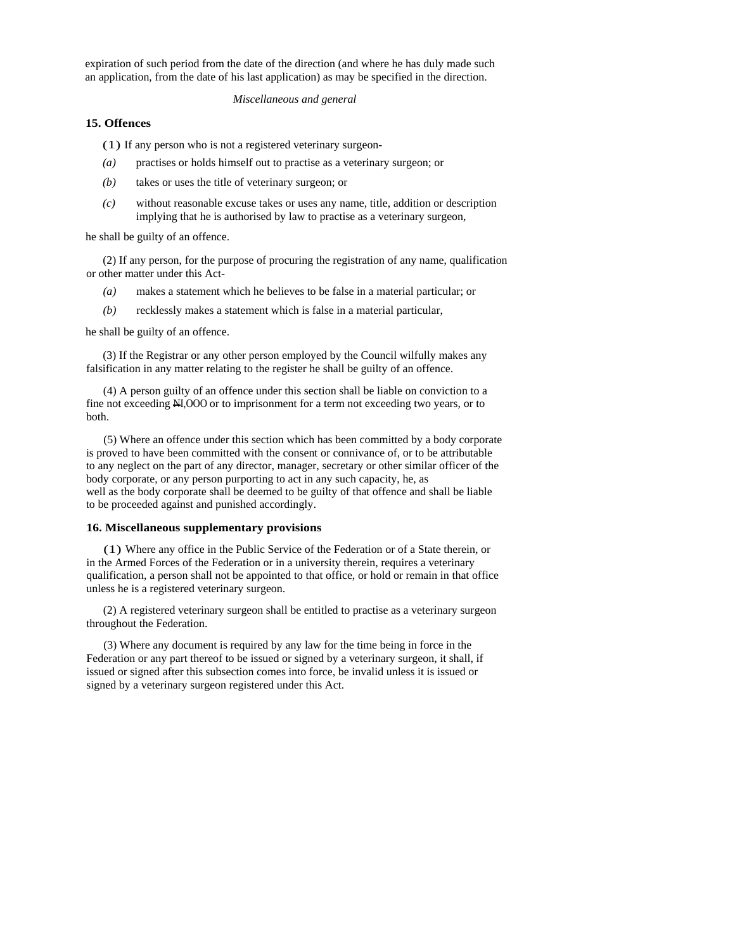expiration of such period from the date of the direction (and where he has duly made such an application, from the date of his last application) as may be specified in the direction.

### *Miscellaneous and general*

### **15. Offences**

(1) If any person who is not a registered veterinary surgeon-

- *(a)* practises or holds himself out to practise as a veterinary surgeon; or
- *(b)* takes or uses the title of veterinary surgeon; or
- *(c)* without reasonable excuse takes or uses any name, title, addition or description implying that he is authorised by law to practise as a veterinary surgeon,

he shall be guilty of an offence.

(2) If any person, for the purpose of procuring the registration of any name, qualification or other matter under this Act-

- *(a)* makes a statement which he believes to be false in a material particular; or
- *(b)* recklessly makes a statement which is false in a material particular,

he shall be guilty of an offence.

(3) If the Registrar or any other person employed by the Council wilfully makes any falsification in any matter relating to the register he shall be guilty of an offence.

(4) A person guilty of an offence under this section shall be liable on conviction to a fine not exceeding NI,OOO or to imprisonment for a term not exceeding two years, or to both.

(5) Where an offence under this section which has been committed by a body corporate is proved to have been committed with the consent or connivance of, or to be attributable to any neglect on the part of any director, manager, secretary or other similar officer of the body corporate, or any person purporting to act in any such capacity, he, as well as the body corporate shall be deemed to be guilty of that offence and shall be liable to be proceeded against and punished accordingly.

### **16. Miscellaneous supplementary provisions**

(1) Where any office in the Public Service of the Federation or of a State therein, or in the Armed Forces of the Federation or in a university therein, requires a veterinary qualification, a person shall not be appointed to that office, or hold or remain in that office unless he is a registered veterinary surgeon.

(2) A registered veterinary surgeon shall be entitled to practise as a veterinary surgeon throughout the Federation.

(3) Where any document is required by any law for the time being in force in the Federation or any part thereof to be issued or signed by a veterinary surgeon, it shall, if issued or signed after this subsection comes into force, be invalid unless it is issued or signed by a veterinary surgeon registered under this Act.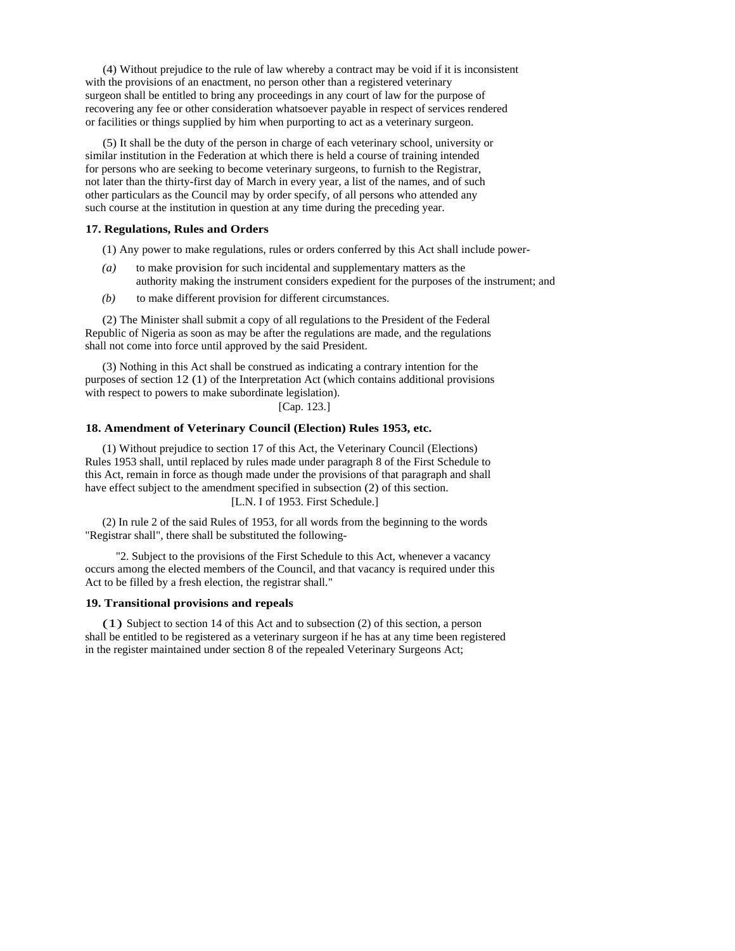(4) Without prejudice to the rule of law whereby a contract may be void if it is inconsistent with the provisions of an enactment, no person other than a registered veterinary surgeon shall be entitled to bring any proceedings in any court of law for the purpose of recovering any fee or other consideration whatsoever payable in respect of services rendered or facilities or things supplied by him when purporting to act as a veterinary surgeon.

(5) It shall be the duty of the person in charge of each veterinary school, university or similar institution in the Federation at which there is held a course of training intended for persons who are seeking to become veterinary surgeons, to furnish to the Registrar, not later than the thirty-first day of March in every year, a list of the names, and of such other particulars as the Council may by order specify, of all persons who attended any such course at the institution in question at any time during the preceding year.

### **17. Regulations, Rules and Orders**

(1) Any power to make regulations, rules or orders conferred by this Act shall include power-

- *(a)* to make provision for such incidental and supplementary matters as the authority making the instrument considers expedient for the purposes of the instrument; and
- *(b)* to make different provision for different circumstances.

(2) The Minister shall submit a copy of all regulations to the President of the Federal Republic of Nigeria as soon as may be after the regulations are made, and the regulations shall not come into force until approved by the said President.

(3) Nothing in this Act shall be construed as indicating a contrary intention for the purposes of section 12 (1) of the Interpretation Act (which contains additional provisions with respect to powers to make subordinate legislation).

[Cap. 123.]

# **18. Amendment of Veterinary Council (Election) Rules 1953, etc.**

(1) Without prejudice to section 17 of this Act, the Veterinary Council (Elections) Rules 1953 shall, until replaced by rules made under paragraph 8 of the First Schedule to this Act, remain in force as though made under the provisions of that paragraph and shall have effect subject to the amendment specified in subsection (2) of this section.

[L.N. I of 1953. First Schedule.]

(2) In rule 2 of the said Rules of 1953, for all words from the beginning to the words "Registrar shall", there shall be substituted the following-

"2. Subject to the provisions of the First Schedule to this Act, whenever a vacancy occurs among the elected members of the Council, and that vacancy is required under this Act to be filled by a fresh election, the registrar shall."

#### **19. Transitional provisions and repeals**

(1) Subject to section 14 of this Act and to subsection (2) of this section, a person shall be entitled to be registered as a veterinary surgeon if he has at any time been registered in the register maintained under section 8 of the repealed Veterinary Surgeons Act;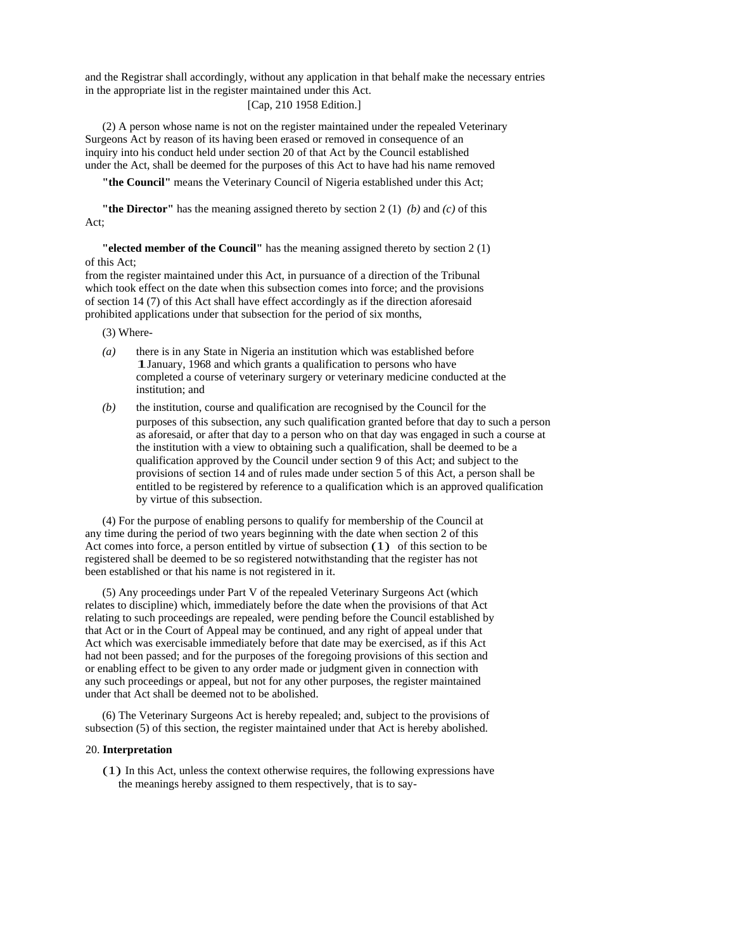and the Registrar shall accordingly, without any application in that behalf make the necessary entries in the appropriate list in the register maintained under this Act.

# [Cap, 210 1958 Edition.]

(2) A person whose name is not on the register maintained under the repealed Veterinary Surgeons Act by reason of its having been erased or removed in consequence of an inquiry into his conduct held under section 20 of that Act by the Council established under the Act, shall be deemed for the purposes of this Act to have had his name removed

**"the Council"** means the Veterinary Council of Nigeria established under this Act;

**"the Director"** has the meaning assigned thereto by section 2 (1) *(b)* and *(c)* of this Act;

**"elected member of the Council"** has the meaning assigned thereto by section 2 (1) of this Act;

from the register maintained under this Act, in pursuance of a direction of the Tribunal which took effect on the date when this subsection comes into force; and the provisions of section 14 (7) of this Act shall have effect accordingly as if the direction aforesaid prohibited applications under that subsection for the period of six months,

(3) Where-

- *(a)* there is in any State in Nigeria an institution which was established before 1January, 1968 and which grants a qualification to persons who have completed a course of veterinary surgery or veterinary medicine conducted at the institution; and
- *(b)* the institution, course and qualification are recognised by the Council for the purposes of this subsection, any such qualification granted before that day to such a person as aforesaid, or after that day to a person who on that day was engaged in such a course at the institution with a view to obtaining such a qualification, shall be deemed to be a qualification approved by the Council under section 9 of this Act; and subject to the provisions of section 14 and of rules made under section 5 of this Act, a person shall be entitled to be registered by reference to a qualification which is an approved qualification by virtue of this subsection.

(4) For the purpose of enabling persons to qualify for membership of the Council at any time during the period of two years beginning with the date when section 2 of this Act comes into force, a person entitled by virtue of subsection (1) of this section to be registered shall be deemed to be so registered notwithstanding that the register has not been established or that his name is not registered in it.

(5) Any proceedings under Part V of the repealed Veterinary Surgeons Act (which relates to discipline) which, immediately before the date when the provisions of that Act relating to such proceedings are repealed, were pending before the Council established by that Act or in the Court of Appeal may be continued, and any right of appeal under that Act which was exercisable immediately before that date may be exercised, as if this Act had not been passed; and for the purposes of the foregoing provisions of this section and or enabling effect to be given to any order made or judgment given in connection with any such proceedings or appeal, but not for any other purposes, the register maintained under that Act shall be deemed not to be abolished.

(6) The Veterinary Surgeons Act is hereby repealed; and, subject to the provisions of subsection (5) of this section, the register maintained under that Act is hereby abolished.

### 20. **Interpretation**

(1) In this Act, unless the context otherwise requires, the following expressions have the meanings hereby assigned to them respectively, that is to say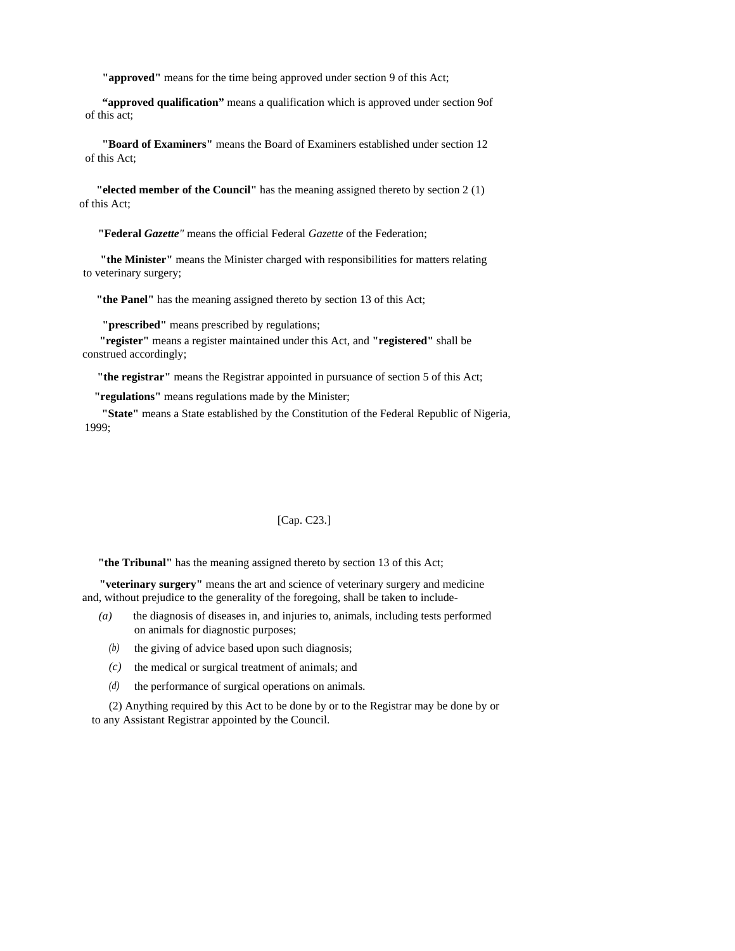**"approved"** means for the time being approved under section 9 of this Act;

**"approved qualification"** means a qualification which is approved under section 9of of this act;

**"Board of Examiners"** means the Board of Examiners established under section 12 of this Act;

**"elected member of the Council"** has the meaning assigned thereto by section 2 (1) of this Act;

**"Federal** *Gazette"* means the official Federal *Gazette* of the Federation;

**"the Minister"** means the Minister charged with responsibilities for matters relating to veterinary surgery;

**"the Panel"** has the meaning assigned thereto by section 13 of this Act;

**"prescribed"** means prescribed by regulations;

**"register"** means a register maintained under this Act, and **"registered"** shall be construed accordingly;

**"the registrar"** means the Registrar appointed in pursuance of section 5 of this Act;

**"regulations"** means regulations made by the Minister;

**"State"** means a State established by the Constitution of the Federal Republic of Nigeria, 1999;

### [Cap. C23.]

**"the Tribunal"** has the meaning assigned thereto by section 13 of this Act;

**"veterinary surgery"** means the art and science of veterinary surgery and medicine and, without prejudice to the generality of the foregoing, shall be taken to include-

- *(a)* the diagnosis of diseases in, and injuries to, animals, including tests performed on animals for diagnostic purposes;
	- $(b)$  the giving of advice based upon such diagnosis;
	- $(c)$  the medical or surgical treatment of animals; and
	- the performance of surgical operations on animals. *(d)*

(2) Anything required by this Act to be done by or to the Registrar may be done by or to any Assistant Registrar appointed by the Council.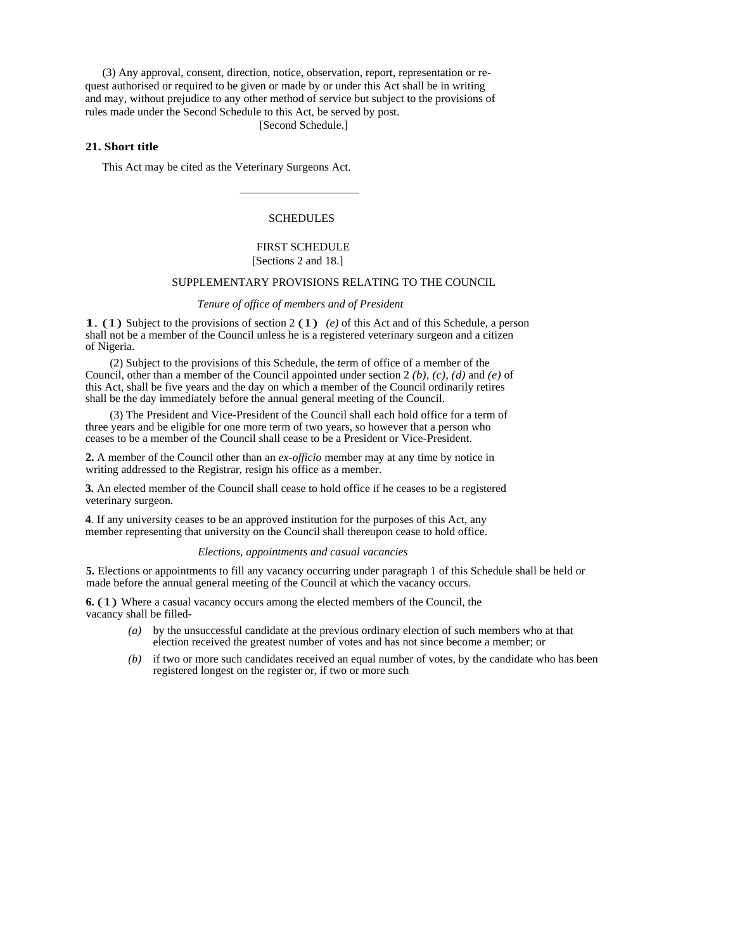(3) Any approval, consent, direction, notice, observation, report, representation or request authorised or required to be given or made by or under this Act shall be in writing and may, without prejudice to any other method of service but subject to the provisions of rules made under the Second Schedule to this Act, be served by post.

[Second Schedule.]

# **21. Short title**

This Act may be cited as the Veterinary Surgeons Act.

# **SCHEDULES**

### FIRST SCHEDULE [Sections 2 and 18.]

#### SUPPLEMENTARY PROVISIONS RELATING TO THE COUNCIL

#### *Tenure of office of members and of President*

**1**. (1) Subject to the provisions of section 2 (1) *(e)* of this Act and of this Schedule, a person shall not be a member of the Council unless he is a registered veterinary surgeon and a citizen of Nigeria.

(2) Subject to the provisions of this Schedule, the term of office of a member of the Council, other than a member of the Council appointed under section 2 *(b), (c), (d)* and *(e)* of this Act, shall be five years and the day on which a member of the Council ordinarily retires shall be the day immediately before the annual general meeting of the Council.

(3) The President and Vice-President of the Council shall each hold office for a term of three years and be eligible for one more term of two years, so however that a person who ceases to be a member of the Council shall cease to be a President or Vice-President.

**2.** A member of the Council other than an *ex-officio* member may at any time by notice in writing addressed to the Registrar, resign his office as a member.

**3.** An elected member of the Council shall cease to hold office if he ceases to be a registered veterinary surgeon.

**4**. If any university ceases to be an approved institution for the purposes of this Act, any member representing that university on the Council shall thereupon cease to hold office.

#### *Elections, appointments and casual vacancies*

**5.** Elections or appointments to fill any vacancy occurring under paragraph 1 of this Schedule shall be held or made before the annual general meeting of the Council at which the vacancy occurs.

**6.** (1) Where a casual vacancy occurs among the elected members of the Council, the vacancy shall be filled-

- *(a)* by the unsuccessful candidate at the previous ordinary election of such members who at that election received the greatest number of votes and has not since become a member; or
- *(b)* if two or more such candidates received an equal number of votes, by the candidate who has been registered longest on the register or, if two or more such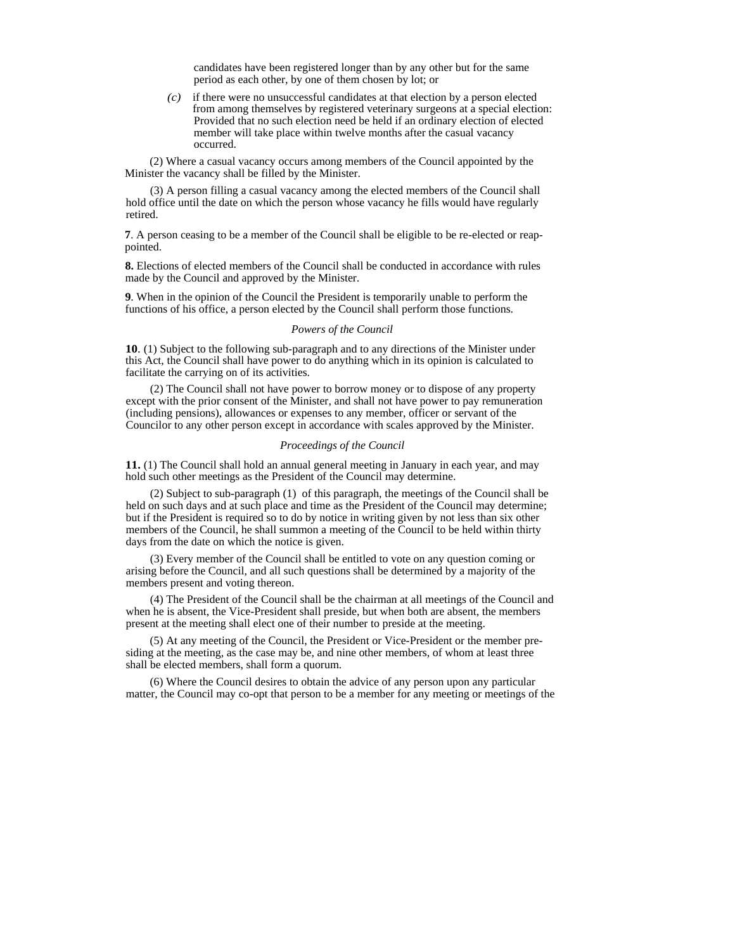candidates have been registered longer than by any other but for the same period as each other, by one of them chosen by lot; or

*(c)* if there were no unsuccessful candidates at that election by a person elected from among themselves by registered veterinary surgeons at a special election: Provided that no such election need be held if an ordinary election of elected member will take place within twelve months after the casual vacancy occurred.

(2) Where a casual vacancy occurs among members of the Council appointed by the Minister the vacancy shall be filled by the Minister.

(3) A person filling a casual vacancy among the elected members of the Council shall hold office until the date on which the person whose vacancy he fills would have regularly retired.

**7**. A person ceasing to be a member of the Council shall be eligible to be re-elected or reappointed.

**8.** Elections of elected members of the Council shall be conducted in accordance with rules made by the Council and approved by the Minister.

**9**. When in the opinion of the Council the President is temporarily unable to perform the functions of his office, a person elected by the Council shall perform those functions.

#### *Powers of the Council*

**10**. (1) Subject to the following sub-paragraph and to any directions of the Minister under this Act, the Council shall have power to do anything which in its opinion is calculated to facilitate the carrying on of its activities.

(2) The Council shall not have power to borrow money or to dispose of any property except with the prior consent of the Minister, and shall not have power to pay remuneration (including pensions), allowances or expenses to any member, officer or servant of the Councilor to any other person except in accordance with scales approved by the Minister.

#### *Proceedings of the Council*

**11.** (1) The Council shall hold an annual general meeting in January in each year, and may hold such other meetings as the President of the Council may determine.

(2) Subject to sub-paragraph (1) of this paragraph, the meetings of the Council shall be held on such days and at such place and time as the President of the Council may determine; but if the President is required so to do by notice in writing given by not less than six other members of the Council, he shall summon a meeting of the Council to be held within thirty days from the date on which the notice is given.

(3) Every member of the Council shall be entitled to vote on any question coming or arising before the Council, and all such questions shall be determined by a majority of the members present and voting thereon.

(4) The President of the Council shall be the chairman at all meetings of the Council and when he is absent, the Vice-President shall preside, but when both are absent, the members present at the meeting shall elect one of their number to preside at the meeting.

(5) At any meeting of the Council, the President or Vice-President or the member presiding at the meeting, as the case may be, and nine other members, of whom at least three shall be elected members, shall form a quorum.

(6) Where the Council desires to obtain the advice of any person upon any particular matter, the Council may co-opt that person to be a member for any meeting or meetings of the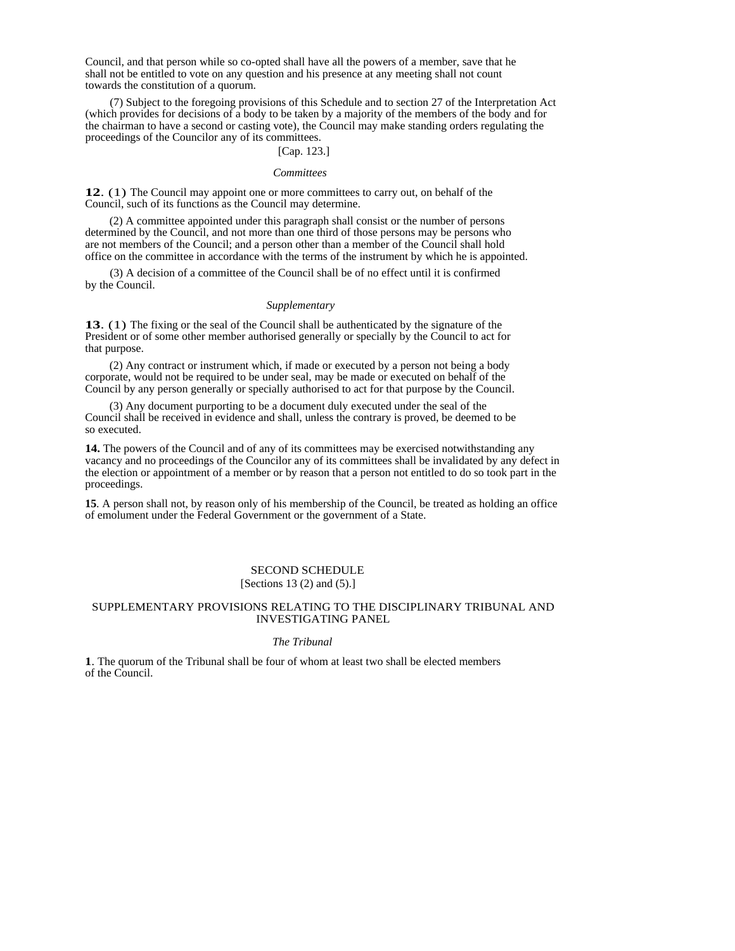Council, and that person while so co-opted shall have all the powers of a member, save that he shall not be entitled to vote on any question and his presence at any meeting shall not count towards the constitution of a quorum.

(7) Subject to the foregoing provisions of this Schedule and to section 27 of the Interpretation Act (which provides for decisions of a body to be taken by a majority of the members of the body and for the chairman to have a second or casting vote), the Council may make standing orders regulating the proceedings of the Councilor any of its committees.

#### [Cap. 123.]

### *Committees*

**12**. (1) The Council may appoint one or more committees to carry out, on behalf of the Council, such of its functions as the Council may determine.

(2) A committee appointed under this paragraph shall consist or the number of persons determined by the Council, and not more than one third of those persons may be persons who are not members of the Council; and a person other than a member of the Council shall hold office on the committee in accordance with the terms of the instrument by which he is appointed.

(3) A decision of a committee of the Council shall be of no effect until it is confirmed by the Council.

#### *Supplementary*

**13**. (1) The fixing or the seal of the Council shall be authenticated by the signature of the President or of some other member authorised generally or specially by the Council to act for that purpose.

(2) Any contract or instrument which, if made or executed by a person not being a body corporate, would not be required to be under seal, may be made or executed on behalf of the Council by any person generally or specially authorised to act for that purpose by the Council.

(3) Any document purporting to be a document duly executed under the seal of the Council shall be received in evidence and shall, unless the contrary is proved, be deemed to be so executed.

**14.** The powers of the Council and of any of its committees may be exercised notwithstanding any vacancy and no proceedings of the Councilor any of its committees shall be invalidated by any defect in the election or appointment of a member or by reason that a person not entitled to do so took part in the proceedings.

**15**. A person shall not, by reason only of his membership of the Council, be treated as holding an office of emolument under the Federal Government or the government of a State.

### SECOND SCHEDULE [Sections 13 (2) and (5).]

# SUPPLEMENTARY PROVISIONS RELATING TO THE DISCIPLINARY TRIBUNAL AND INVESTIGATING PANEL

### *The Tribunal*

**1**. The quorum of the Tribunal shall be four of whom at least two shall be elected members of the Council.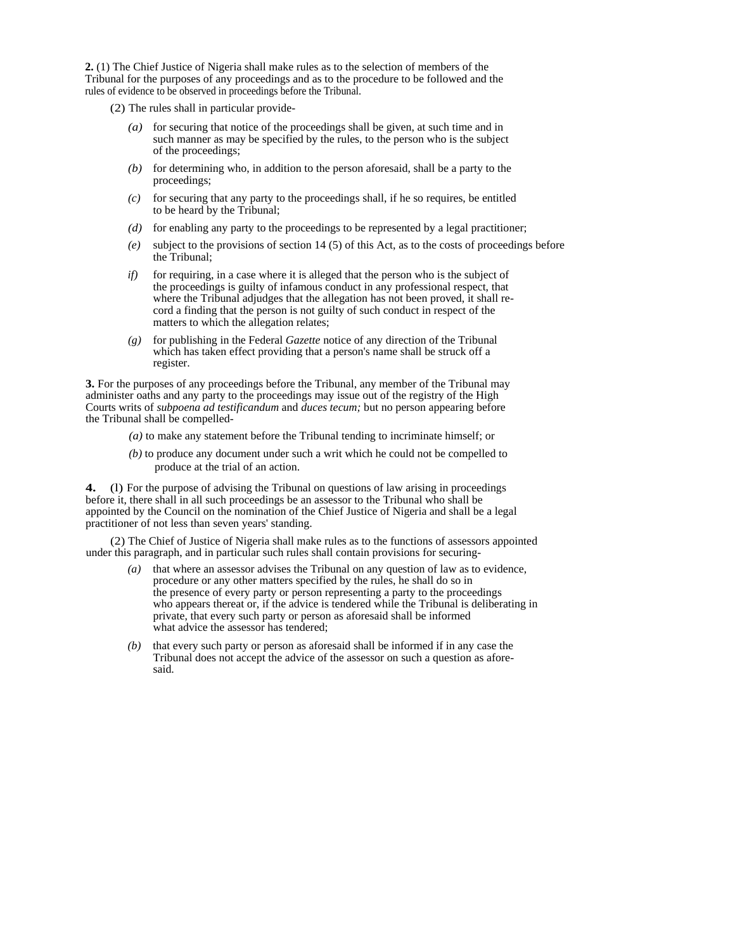**2.** (1) The Chief Justice of Nigeria shall make rules as to the selection of members of the Tribunal for the purposes of any proceedings and as to the procedure to be followed and the rules of evidence to be observed in proceedings before the Tribunal.

- (2) The rules shall in particular provide-
	- *(a)* for securing that notice of the proceedings shall be given, at such time and in such manner as may be specified by the rules, to the person who is the subject of the proceedings;
	- *(b)* for determining who, in addition to the person aforesaid, shall be a party to the proceedings;
	- $(c)$  for securing that any party to the proceedings shall, if he so requires, be entitled to be heard by the Tribunal;
	- *(d)* for enabling any party to the proceedings to be represented by a legal practitioner;
	- *(e)* subject to the provisions of section 14 (5) of this Act, as to the costs of proceedings before the Tribunal;
	- *if*) for requiring, in a case where it is alleged that the person who is the subject of the proceedings is guilty of infamous conduct in any professional respect, that where the Tribunal adjudges that the allegation has not been proved, it shall record a finding that the person is not guilty of such conduct in respect of the matters to which the allegation relates;
	- *(g)* for publishing in the Federal *Gazette* notice of any direction of the Tribunal which has taken effect providing that a person's name shall be struck off a register.

**3.** For the purposes of any proceedings before the Tribunal, any member of the Tribunal may administer oaths and any party to the proceedings may issue out of the registry of the High Courts writs of *subpoena ad testificandum* and *duces tecum;* but no person appearing before the Tribunal shall be compelled-

- *(a)* to make any statement before the Tribunal tending to incriminate himself; or
- *(b)* to produce any document under such a writ which he could not be compelled to produce at the trial of an action.

**4.** (l) For the purpose of advising the Tribunal on questions of law arising in proceedings before it, there shall in all such proceedings be an assessor to the Tribunal who shall be appointed by the Council on the nomination of the Chief Justice of Nigeria and shall be a legal practitioner of not less than seven years' standing.

(2) The Chief of Justice of Nigeria shall make rules as to the functions of assessors appointed under this paragraph, and in particular such rules shall contain provisions for securing-

- *(a)* that where an assessor advises the Tribunal on any question of law as to evidence, procedure or any other matters specified by the rules, he shall do so in the presence of every party or person representing a party to the proceedings who appears thereat or, if the advice is tendered while the Tribunal is deliberating in private, that every such party or person as aforesaid shall be informed what advice the assessor has tendered;
- *(b)* that every such party or person as aforesaid shall be informed if in any case the Tribunal does not accept the advice of the assessor on such a question as aforesaid.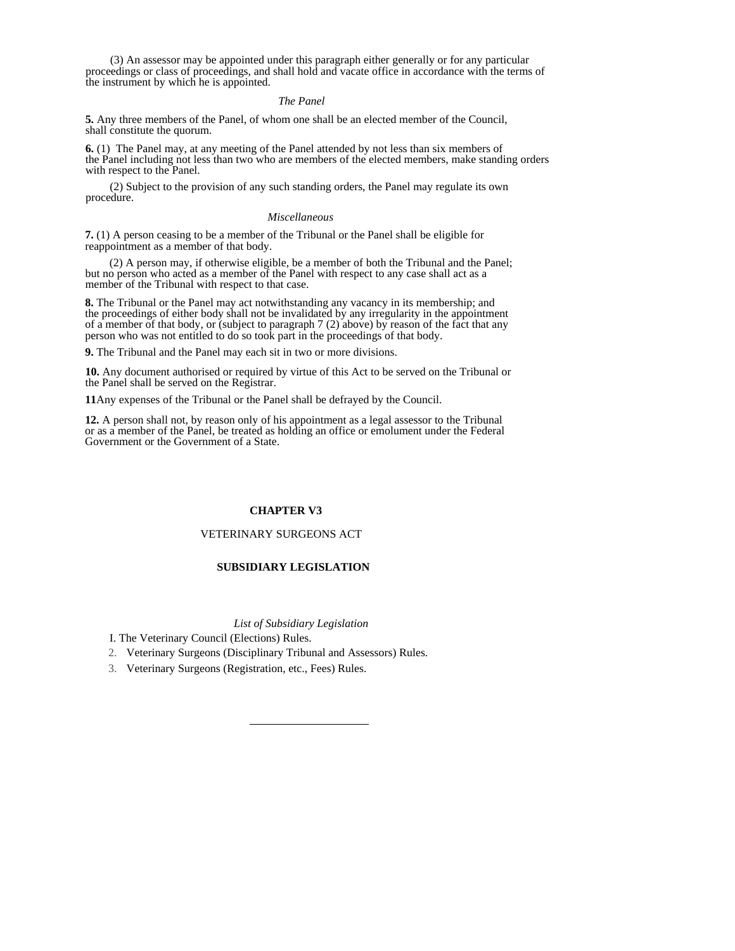(3) An assessor may be appointed under this paragraph either generally or for any particular proceedings or class of proceedings, and shall hold and vacate office in accordance with the terms of the instrument by which he is appointed.

### *The Panel*

**5.** Any three members of the Panel, of whom one shall be an elected member of the Council, shall constitute the quorum.

**6.** (1) The Panel may, at any meeting of the Panel attended by not less than six members of the Panel including not less than two who are members of the elected members, make standing orders with respect to the Panel.

(2) Subject to the provision of any such standing orders, the Panel may regulate its own procedure.

#### *Miscellaneous*

**7.** (1) A person ceasing to be a member of the Tribunal or the Panel shall be eligible for reappointment as a member of that body.

(2) A person may, if otherwise eligible, be a member of both the Tribunal and the Panel; but no person who acted as a member of the Panel with respect to any case shall act as a member of the Tribunal with respect to that case.

**8.** The Tribunal or the Panel may act notwithstanding any vacancy in its membership; and the proceedings of either body shall not be invalidated by any irregularity in the appointment of a member of that body, or (subject to paragraph 7 (2) above) by reason of the fact that any person who was not entitled to do so took part in the proceedings of that body.

**9.** The Tribunal and the Panel may each sit in two or more divisions.

**10.** Any document authorised or required by virtue of this Act to be served on the Tribunal or the Panel shall be served on the Registrar.

**11**Any expenses of the Tribunal or the Panel shall be defrayed by the Council.

**12.** A person shall not, by reason only of his appointment as a legal assessor to the Tribunal or as a member of the Panel, be treated as holding an office or emolument under the Federal Government or the Government of a State.

# **CHAPTER V3**

### VETERINARY SURGEONS ACT

# **SUBSIDIARY LEGISLATION**

*List of Subsidiary Legislation* 

I. The Veterinary Council (Elections) Rules.

2. Veterinary Surgeons (Disciplinary Tribunal and Assessors) Rules.

3. Veterinary Surgeons (Registration, etc., Fees) Rules.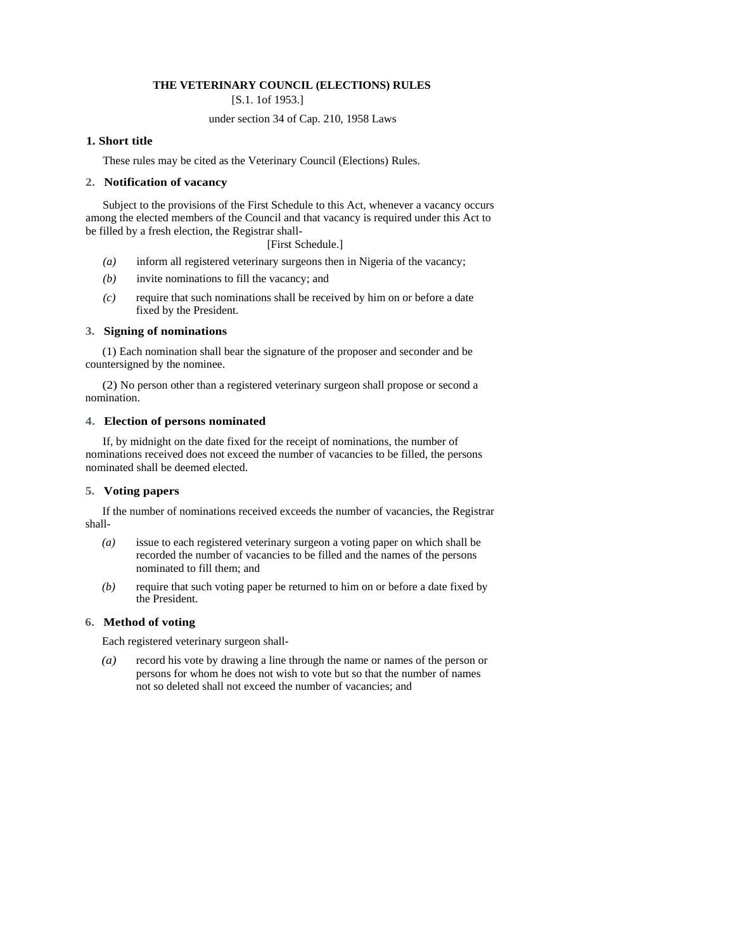# **THE VETERINARY COUNCIL (ELECTIONS) RULES**

[S.1. 1of 1953.]

# under section 34 of Cap. 210, 1958 Laws

# **1. Short title**

These rules may be cited as the Veterinary Council (Elections) Rules.

### **2. Notification of vacancy**

Subject to the provisions of the First Schedule to this Act, whenever a vacancy occurs among the elected members of the Council and that vacancy is required under this Act to be filled by a fresh election, the Registrar shall-

[First Schedule.]

- *(a)* inform all registered veterinary surgeons then in Nigeria of the vacancy;
- *(b)* invite nominations to fill the vacancy; and
- *(c)* require that such nominations shall be received by him on or before a date fixed by the President.

### **3. Signing of nominations**

(1) Each nomination shall bear the signature of the proposer and seconder and be countersigned by the nominee.

(2) No person other than a registered veterinary surgeon shall propose or second a nomination.

### **4. Election of persons nominated**

If, by midnight on the date fixed for the receipt of nominations, the number of nominations received does not exceed the number of vacancies to be filled, the persons nominated shall be deemed elected.

### **5. Voting papers**

If the number of nominations received exceeds the number of vacancies, the Registrar shall-

- *(a)* issue to each registered veterinary surgeon a voting paper on which shall be recorded the number of vacancies to be filled and the names of the persons nominated to fill them; and
- *(b)* require that such voting paper be returned to him on or before a date fixed by the President.

### **6. Method of voting**

Each registered veterinary surgeon shall-

*(a)* record his vote by drawing a line through the name or names of the person or persons for whom he does not wish to vote but so that the number of names not so deleted shall not exceed the number of vacancies; and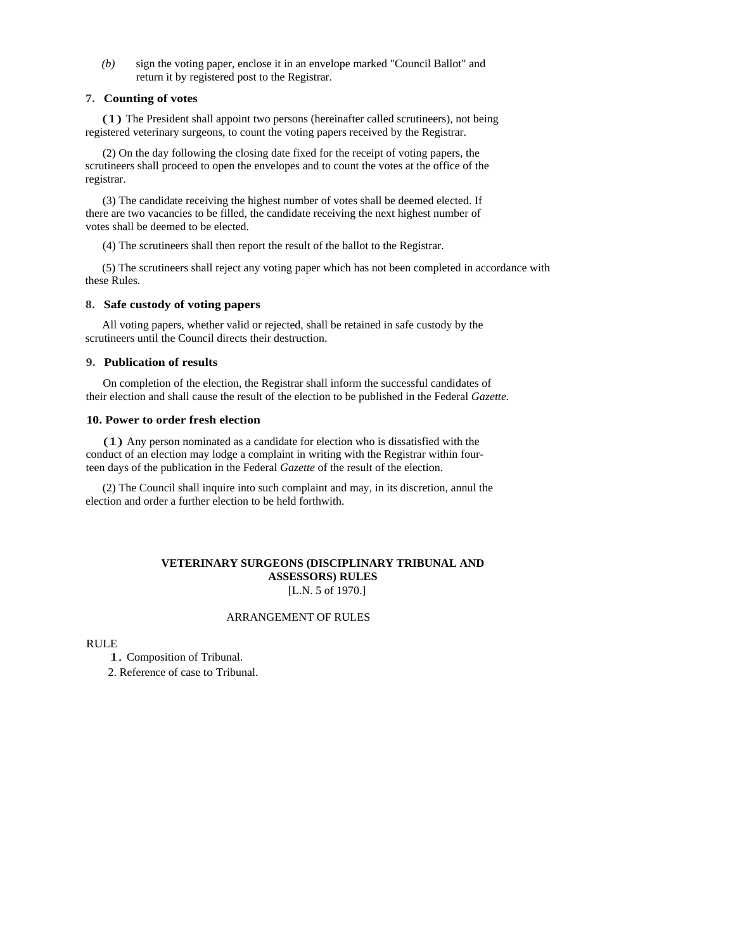*(b)* sign the voting paper, enclose it in an envelope marked "Council Ballot" and return it by registered post to the Registrar.

### **7. Counting of votes**

(1) The President shall appoint two persons (hereinafter called scrutineers), not being registered veterinary surgeons, to count the voting papers received by the Registrar.

(2) On the day following the closing date fixed for the receipt of voting papers, the scrutineers shall proceed to open the envelopes and to count the votes at the office of the registrar.

(3) The candidate receiving the highest number of votes shall be deemed elected. If there are two vacancies to be filled, the candidate receiving the next highest number of votes shall be deemed to be elected.

(4) The scrutineers shall then report the result of the ballot to the Registrar.

(5) The scrutineers shall reject any voting paper which has not been completed in accordance with these Rules.

# **8. Safe custody of voting papers**

All voting papers, whether valid or rejected, shall be retained in safe custody by the scrutineers until the Council directs their destruction.

# **9. Publication of results**

On completion of the election, the Registrar shall inform the successful candidates of their election and shall cause the result of the election to be published in the Federal *Gazette.* 

### **10. Power to order fresh election**

(1) Any person nominated as a candidate for election who is dissatisfied with the conduct of an election may lodge a complaint in writing with the Registrar within fourteen days of the publication in the Federal *Gazette* of the result of the election.

(2) The Council shall inquire into such complaint and may, in its discretion, annul the election and order a further election to be held forthwith.

# **VETERINARY SURGEONS (DISCIPLINARY TRIBUNAL AND ASSESSORS) RULES**

[L.N. 5 of 1970.]

### ARRANGEMENT OF RULES

RULE

1. Composition of Tribunal.

2. Reference of case to Tribunal.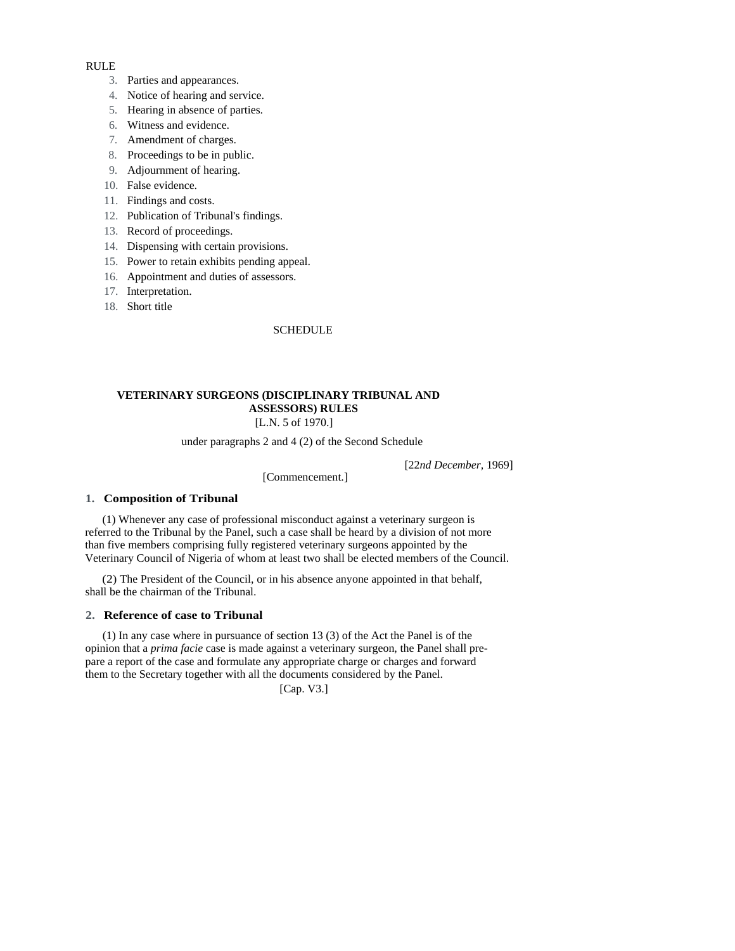### RULE

- 3. Parties and appearances.
- 4. Notice of hearing and service.
- 5. Hearing in absence of parties.
- 6. Witness and evidence.
- 7. Amendment of charges.
- 8. Proceedings to be in public.
- 9. Adjournment of hearing.
- 10. False evidence.
- 11. Findings and costs.
- 12. Publication of Tribunal's findings.
- 13. Record of proceedings.
- 14. Dispensing with certain provisions.
- 15. Power to retain exhibits pending appeal.
- 16. Appointment and duties of assessors.
- 17. Interpretation.
- 18. Short title

### SCHEDULE

# **VETERINARY SURGEONS (DISCIPLINARY TRIBUNAL AND ASSESSORS) RULES**

[L.N. 5 of 1970.]

under paragraphs 2 and 4 (2) of the Second Schedule

[22*nd December,* 1969]

[Commencement.]

# **1. Composition of Tribunal**

(1) Whenever any case of professional misconduct against a veterinary surgeon is referred to the Tribunal by the Panel, such a case shall be heard by a division of not more than five members comprising fully registered veterinary surgeons appointed by the Veterinary Council of Nigeria of whom at least two shall be elected members of the Council.

(2) The President of the Council, or in his absence anyone appointed in that behalf, shall be the chairman of the Tribunal.

### **2. Reference of case to Tribunal**

(1) In any case where in pursuance of section 13 (3) of the Act the Panel is of the opinion that a *prima facie* case is made against a veterinary surgeon, the Panel shall prepare a report of the case and formulate any appropriate charge or charges and forward them to the Secretary together with all the documents considered by the Panel.

[Cap. V3.]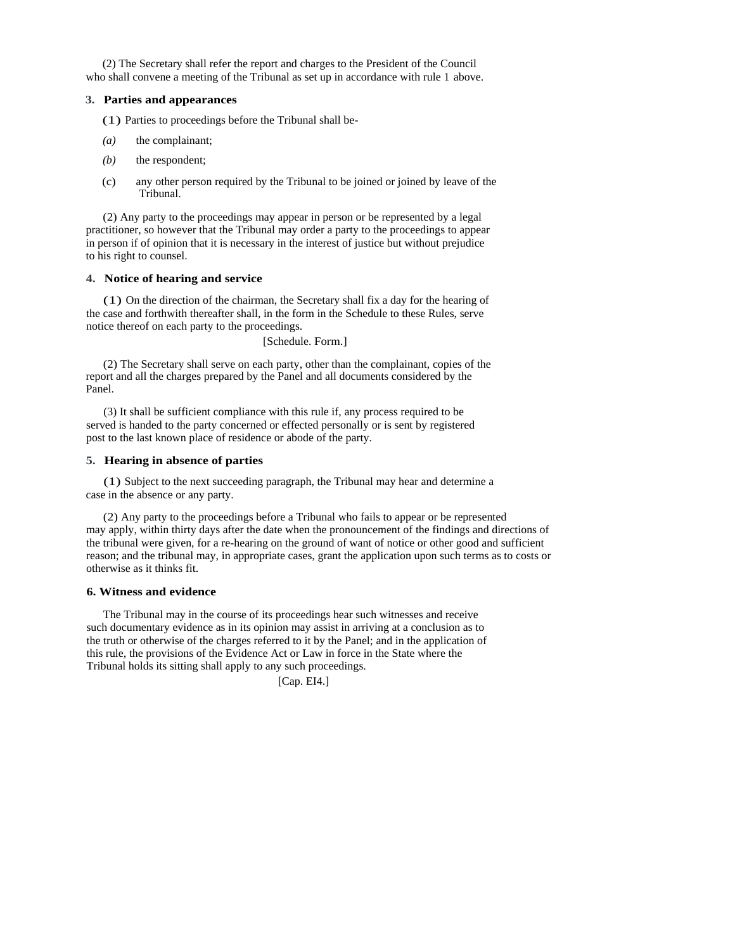(2) The Secretary shall refer the report and charges to the President of the Council who shall convene a meeting of the Tribunal as set up in accordance with rule 1 above.

### **3. Parties and appearances**

(1) Parties to proceedings before the Tribunal shall be-

- (a) the complainant;
- *(b)* the respondent;
- (c) any other person required by the Tribunal to be joined or joined by leave of the Tribunal.

(2) Any party to the proceedings may appear in person or be represented by a legal practitioner, so however that the Tribunal may order a party to the proceedings to appear in person if of opinion that it is necessary in the interest of justice but without prejudice to his right to counsel.

### **4. Notice of hearing and service**

(1) On the direction of the chairman, the Secretary shall fix a day for the hearing of the case and forthwith thereafter shall, in the form in the Schedule to these Rules, serve notice thereof on each party to the proceedings.

[Schedule. Form.]

(2) The Secretary shall serve on each party, other than the complainant, copies of the report and all the charges prepared by the Panel and all documents considered by the Panel.

(3) It shall be sufficient compliance with this rule if, any process required to be served is handed to the party concerned or effected personally or is sent by registered post to the last known place of residence or abode of the party.

# **5. Hearing in absence of parties**

(1) Subject to the next succeeding paragraph, the Tribunal may hear and determine a case in the absence or any party.

(2) Any party to the proceedings before a Tribunal who fails to appear or be represented may apply, within thirty days after the date when the pronouncement of the findings and directions of the tribunal were given, for a re-hearing on the ground of want of notice or other good and sufficient reason; and the tribunal may, in appropriate cases, grant the application upon such terms as to costs or otherwise as it thinks fit.

# **6. Witness and evidence**

The Tribunal may in the course of its proceedings hear such witnesses and receive such documentary evidence as in its opinion may assist in arriving at a conclusion as to the truth or otherwise of the charges referred to it by the Panel; and in the application of this rule, the provisions of the Evidence Act or Law in force in the State where the Tribunal holds its sitting shall apply to any such proceedings.

[Cap. EI4.]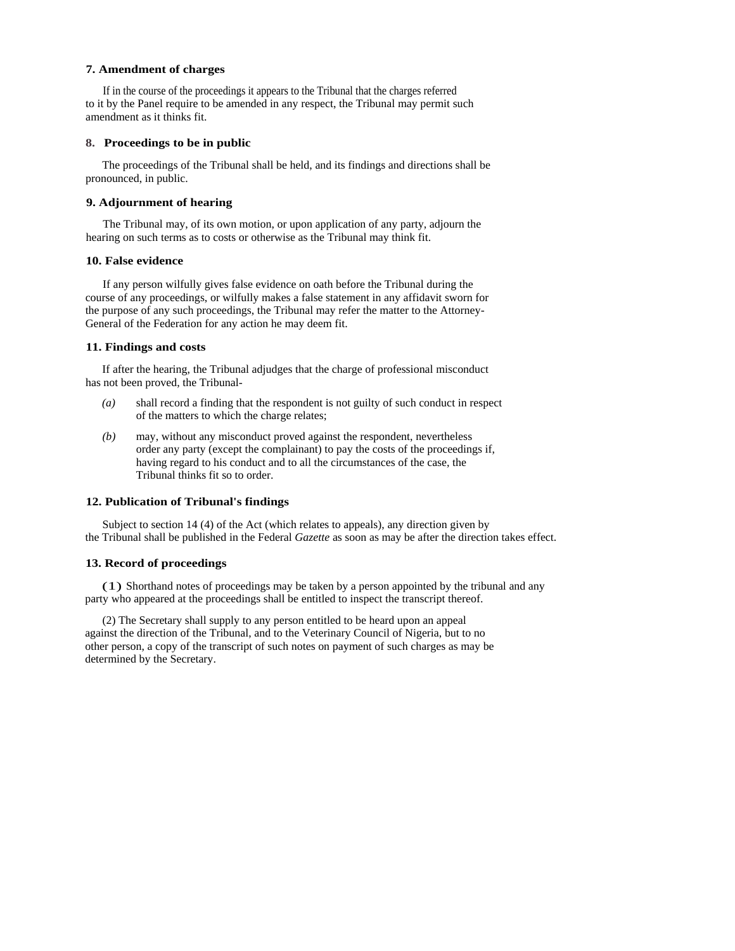### **7. Amendment of charges**

If in the course of the proceedings it appears to the Tribunal that the charges referred to it by the Panel require to be amended in any respect, the Tribunal may permit such amendment as it thinks fit.

### **8. Proceedings to be in public**

The proceedings of the Tribunal shall be held, and its findings and directions shall be pronounced, in public.

### **9. Adjournment of hearing**

The Tribunal may, of its own motion, or upon application of any party, adjourn the hearing on such terms as to costs or otherwise as the Tribunal may think fit.

# **10. False evidence**

If any person wilfully gives false evidence on oath before the Tribunal during the course of any proceedings, or wilfully makes a false statement in any affidavit sworn for the purpose of any such proceedings, the Tribunal may refer the matter to the Attorney-General of the Federation for any action he may deem fit.

#### **11. Findings and costs**

If after the hearing, the Tribunal adjudges that the charge of professional misconduct has not been proved, the Tribunal-

- *(a)* shall record a finding that the respondent is not guilty of such conduct in respect of the matters to which the charge relates;
- *(b)* may, without any misconduct proved against the respondent, nevertheless order any party (except the complainant) to pay the costs of the proceedings if, having regard to his conduct and to all the circumstances of the case, the Tribunal thinks fit so to order.

### **12. Publication of Tribunal's findings**

Subject to section 14 (4) of the Act (which relates to appeals), any direction given by the Tribunal shall be published in the Federal *Gazette* as soon as may be after the direction takes effect.

### **13. Record of proceedings**

(1) Shorthand notes of proceedings may be taken by a person appointed by the tribunal and any party who appeared at the proceedings shall be entitled to inspect the transcript thereof.

(2) The Secretary shall supply to any person entitled to be heard upon an appeal against the direction of the Tribunal, and to the Veterinary Council of Nigeria, but to no other person, a copy of the transcript of such notes on payment of such charges as may be determined by the Secretary.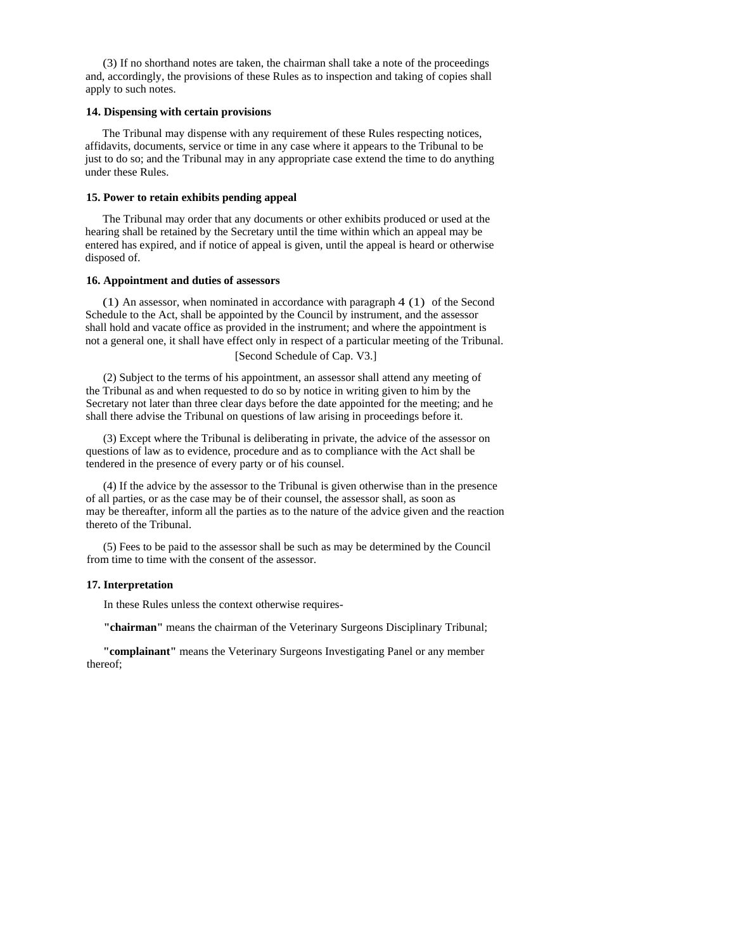(3) If no shorthand notes are taken, the chairman shall take a note of the proceedings and, accordingly, the provisions of these Rules as to inspection and taking of copies shall apply to such notes.

### **14. Dispensing with certain provisions**

The Tribunal may dispense with any requirement of these Rules respecting notices, affidavits, documents, service or time in any case where it appears to the Tribunal to be just to do so; and the Tribunal may in any appropriate case extend the time to do anything under these Rules.

### **15. Power to retain exhibits pending appeal**

The Tribunal may order that any documents or other exhibits produced or used at the hearing shall be retained by the Secretary until the time within which an appeal may be entered has expired, and if notice of appeal is given, until the appeal is heard or otherwise disposed of.

#### **16. Appointment and duties of assessors**

(1) An assessor, when nominated in accordance with paragraph 4 (1) of the Second Schedule to the Act, shall be appointed by the Council by instrument, and the assessor shall hold and vacate office as provided in the instrument; and where the appointment is not a general one, it shall have effect only in respect of a particular meeting of the Tribunal. [Second Schedule of Cap. V3.]

(2) Subject to the terms of his appointment, an assessor shall attend any meeting of the Tribunal as and when requested to do so by notice in writing given to him by the Secretary not later than three clear days before the date appointed for the meeting; and he shall there advise the Tribunal on questions of law arising in proceedings before it.

(3) Except where the Tribunal is deliberating in private, the advice of the assessor on questions of law as to evidence, procedure and as to compliance with the Act shall be tendered in the presence of every party or of his counsel.

(4) If the advice by the assessor to the Tribunal is given otherwise than in the presence of all parties, or as the case may be of their counsel, the assessor shall, as soon as may be thereafter, inform all the parties as to the nature of the advice given and the reaction thereto of the Tribunal.

(5) Fees to be paid to the assessor shall be such as may be determined by the Council from time to time with the consent of the assessor.

### **17. Interpretation**

In these Rules unless the context otherwise requires-

**"chairman"** means the chairman of the Veterinary Surgeons Disciplinary Tribunal;

**"complainant"** means the Veterinary Surgeons Investigating Panel or any member thereof;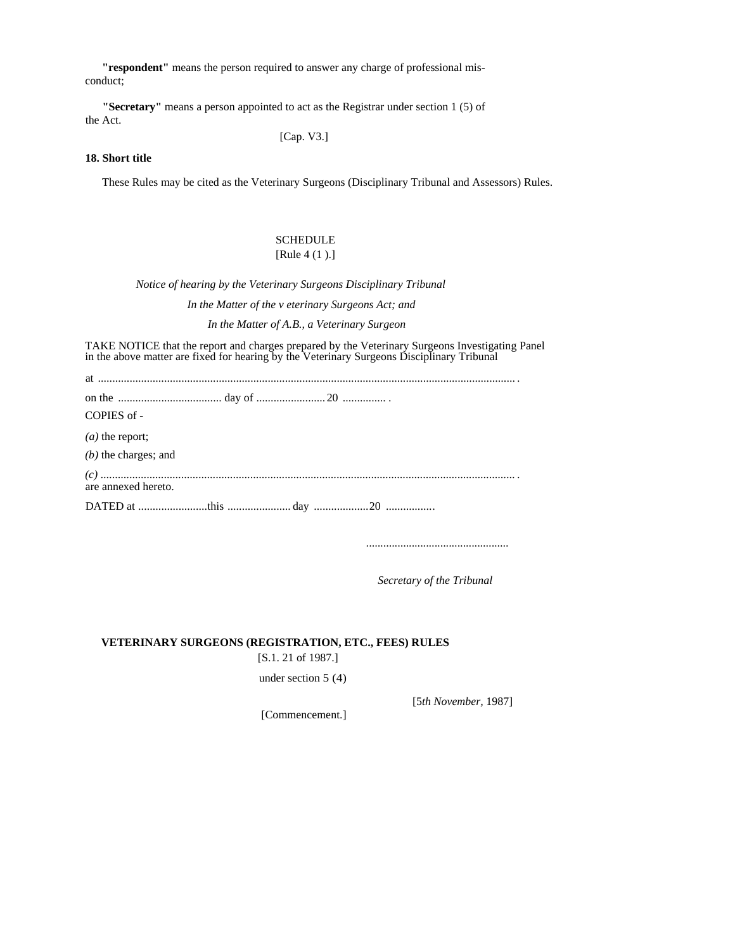**"respondent"** means the person required to answer any charge of professional misconduct;

**"Secretary"** means a person appointed to act as the Registrar under section 1 (5) of the Act.

[Cap. V3.]

### **18. Short title**

These Rules may be cited as the Veterinary Surgeons (Disciplinary Tribunal and Assessors) Rules.

# **SCHEDULE** [Rule 4 (1 ).]

*Notice of hearing by the Veterinary Surgeons Disciplinary Tribunal* 

 *In the Matter of the v eterinary Surgeons Act; and* 

*In the Matter of A.B., a Veterinary Surgeon* 

TAKE NOTICE that the report and charges prepared by the Veterinary Surgeons Investigating Panel in the above matter are fixed for hearing by the Veterinary Surgeons Disciplinary Tribunal

| COPIES of -            |
|------------------------|
| $(a)$ the report;      |
| $(b)$ the charges; and |
| are annexed hereto.    |
|                        |

*..................................................*

 *Secretary of the Tribunal* 

### **VETERINARY SURGEONS (REGISTRATION, ETC., FEES) RULES**

[S.1. 21 of 1987.]

under section 5 (4)

[5*th November,* 1987]

[Commencement.]